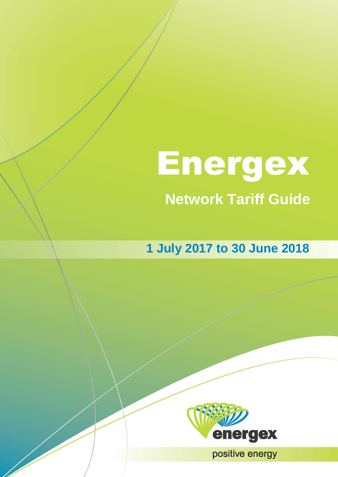# **Network Tariff Guide** Energex

**1 July 2017 to 30 June 2018**



**11- Energy 2017-19 Positive energy**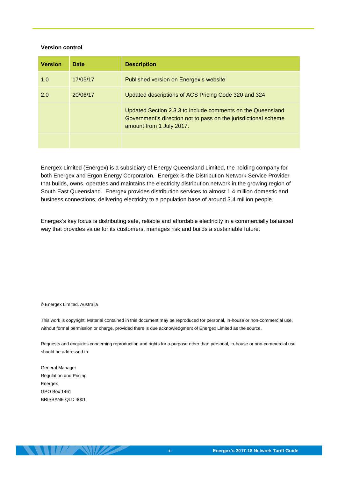#### **Version control**

| <b>Version</b> | <b>Date</b> | <b>Description</b>                                                                                                                                         |
|----------------|-------------|------------------------------------------------------------------------------------------------------------------------------------------------------------|
| 1.0            | 17/05/17    | Published version on Energex's website                                                                                                                     |
| 2.0            | 20/06/17    | Updated descriptions of ACS Pricing Code 320 and 324                                                                                                       |
|                |             | Updated Section 2.3.3 to include comments on the Queensland<br>Government's direction not to pass on the jurisdictional scheme<br>amount from 1 July 2017. |
|                |             |                                                                                                                                                            |

Energex Limited (Energex) is a subsidiary of Energy Queensland Limited, the holding company for both Energex and Ergon Energy Corporation. Energex is the Distribution Network Service Provider that builds, owns, operates and maintains the electricity distribution network in the growing region of South East Queensland. Energex provides distribution services to almost 1.4 million domestic and business connections, delivering electricity to a population base of around 3.4 million people.

Energex's key focus is distributing safe, reliable and affordable electricity in a commercially balanced way that provides value for its customers, manages risk and builds a sustainable future.

© Energex Limited, Australia

This work is copyright. Material contained in this document may be reproduced for personal, in-house or non-commercial use, without formal permission or charge, provided there is due acknowledgment of Energex Limited as the source.

Requests and enquiries concerning reproduction and rights for a purpose other than personal, in-house or non-commercial use should be addressed to:

General Manager Regulation and Pricing Energex GPO Box 1461 BRISBANE QLD 4001

**SAMILLA SAMZ**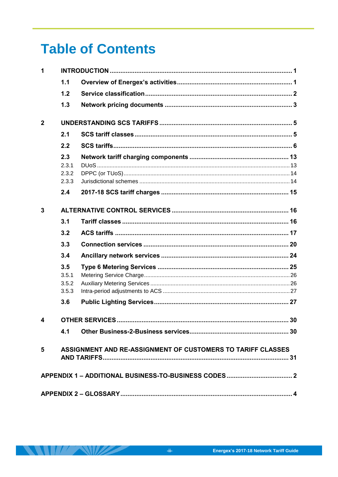# **Table of Contents**

| 1              |                                |                                                             |  |  |
|----------------|--------------------------------|-------------------------------------------------------------|--|--|
|                | 1.1                            |                                                             |  |  |
|                | 1.2                            |                                                             |  |  |
|                | 1.3                            |                                                             |  |  |
| $\overline{2}$ |                                |                                                             |  |  |
|                | 2.1                            |                                                             |  |  |
|                | 2.2                            |                                                             |  |  |
|                | 2.3<br>2.3.1<br>2.3.2<br>2.3.3 |                                                             |  |  |
|                | 2.4                            |                                                             |  |  |
| 3              |                                |                                                             |  |  |
|                | 3.1                            |                                                             |  |  |
|                | 3.2                            |                                                             |  |  |
|                | 3.3                            |                                                             |  |  |
|                | 3.4                            |                                                             |  |  |
|                | 3.5<br>3.5.1<br>3.5.2<br>3.5.3 |                                                             |  |  |
|                | 3.6                            |                                                             |  |  |
|                |                                |                                                             |  |  |
|                | 4.1                            |                                                             |  |  |
| 5              |                                | ASSIGNMENT AND RE-ASSIGNMENT OF CUSTOMERS TO TARIFF CLASSES |  |  |
|                |                                |                                                             |  |  |
|                |                                |                                                             |  |  |

 $\mathcal{L} \mathcal{L}$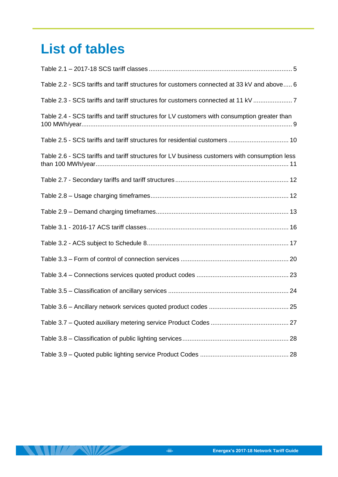# **List of tables**

 $\frac{1}{2}$ 

22

| Table 2.2 - SCS tariffs and tariff structures for customers connected at 33 kV and above 6    |
|-----------------------------------------------------------------------------------------------|
| Table 2.3 - SCS tariffs and tariff structures for customers connected at 11 kV                |
| Table 2.4 - SCS tariffs and tariff structures for LV customers with consumption greater than  |
| Table 2.5 - SCS tariffs and tariff structures for residential customers  10                   |
| Table 2.6 - SCS tariffs and tariff structures for LV business customers with consumption less |
|                                                                                               |
|                                                                                               |
|                                                                                               |
|                                                                                               |
|                                                                                               |
|                                                                                               |
|                                                                                               |
|                                                                                               |
|                                                                                               |
|                                                                                               |
|                                                                                               |
|                                                                                               |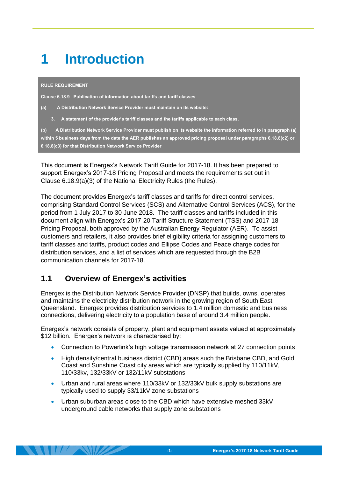# <span id="page-4-0"></span>**1 Introduction**

#### **RULE REQUIREMENT**

**Clause 6.18.9 Publication of information about tariffs and tariff classes** 

- **(a) A Distribution Network Service Provider must maintain on its website:**
	- **3. A statement of the provider's tariff classes and the tariffs applicable to each class.**

**(b) A Distribution Network Service Provider must publish on its website the information referred to in paragraph (a) within 5 business days from the date the AER publishes an approved pricing proposal under paragraphs 6.18.8(c2) or 6.18.8(c3) for that Distribution Network Service Provider** 

This document is Energex's Network Tariff Guide for 2017-18. It has been prepared to support Energex's 2017-18 Pricing Proposal and meets the requirements set out in Clause 6.18.9(a)(3) of the National Electricity Rules (the Rules).

The document provides Energex's tariff classes and tariffs for direct control services, comprising Standard Control Services (SCS) and Alternative Control Services (ACS), for the period from 1 July 2017 to 30 June 2018. The tariff classes and tariffs included in this document align with Energex's 2017-20 Tariff Structure Statement (TSS) and 2017-18 Pricing Proposal, both approved by the Australian Energy Regulator (AER). To assist customers and retailers, it also provides brief eligibility criteria for assigning customers to tariff classes and tariffs, product codes and Ellipse Codes and Peace charge codes for distribution services, and a list of services which are requested through the B2B communication channels for 2017-18.

### <span id="page-4-1"></span>**1.1 Overview of Energex's activities**

 $\mathbf{H}$ 

Energex is the Distribution Network Service Provider (DNSP) that builds, owns, operates and maintains the electricity distribution network in the growing region of South East Queensland. Energex provides distribution services to 1.4 million domestic and business connections, delivering electricity to a population base of around 3.4 million people.

Energex's network consists of property, plant and equipment assets valued at approximately \$12 billion. Energex's network is characterised by:

- Connection to Powerlink's high voltage transmission network at 27 connection points
- High density/central business district (CBD) areas such the Brisbane CBD, and Gold Coast and Sunshine Coast city areas which are typically supplied by 110/11kV, 110/33kv, 132/33kV or 132/11kV substations
- Urban and rural areas where 110/33kV or 132/33kV bulk supply substations are typically used to supply 33/11kV zone substations
- Urban suburban areas close to the CBD which have extensive meshed 33kV underground cable networks that supply zone substations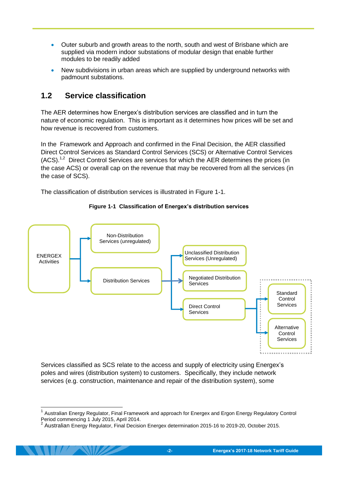- Outer suburb and growth areas to the north, south and west of Brisbane which are supplied via modern indoor substations of modular design that enable further modules to be readily added
- New subdivisions in urban areas which are supplied by underground networks with padmount substations.

### <span id="page-5-0"></span>**1.2 Service classification**

-

The AER determines how Energex's distribution services are classified and in turn the nature of economic regulation. This is important as it determines how prices will be set and how revenue is recovered from customers.

In the Framework and Approach and confirmed in the Final Decision, the AER classified Direct Control Services as Standard Control Services (SCS) or Alternative Control Services (ACS).<sup>1,2</sup> Direct Control Services are services for which the AER determines the prices (in the case ACS) or overall cap on the revenue that may be recovered from all the services (in the case of SCS).

<span id="page-5-1"></span>The classification of distribution services is illustrated in [Figure 1-1.](#page-5-1)



**Figure 1-1 Classification of Energex's distribution services**

Services classified as SCS relate to the access and supply of electricity using Energex's poles and wires (distribution system) to customers. Specifically, they include network services (e.g. construction, maintenance and repair of the distribution system), some

<sup>&</sup>lt;sup>1</sup> Australian Energy Regulator, Final Framework and approach for Energex and Ergon Energy Regulatory Control Period commencing 1 July 2015, April 2014.<br><sup>2</sup> Australian Energy Regulator, Final Desisi

Australian Energy Regulator, Final Decision Energex determination 2015-16 to 2019-20, October 2015.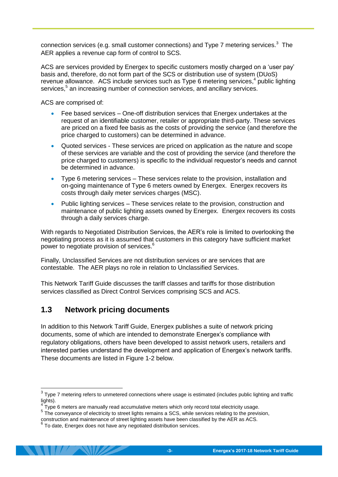connection services (e.g. small customer connections) and Type 7 metering services. $3$  The AER applies a revenue cap form of control to SCS.

ACS are services provided by Energex to specific customers mostly charged on a 'user pay' basis and, therefore, do not form part of the SCS or distribution use of system (DUoS) revenue allowance. ACS include services such as Type 6 metering services,<sup>4</sup> public lighting services,<sup>5</sup> an increasing number of connection services, and ancillary services.

ACS are comprised of:

- Fee based services One-off distribution services that Energex undertakes at the request of an identifiable customer, retailer or appropriate third-party. These services are priced on a fixed fee basis as the costs of providing the service (and therefore the price charged to customers) can be determined in advance.
- Quoted services These services are priced on application as the nature and scope of these services are variable and the cost of providing the service (and therefore the price charged to customers) is specific to the individual requestor's needs and cannot be determined in advance.
- Type 6 metering services These services relate to the provision, installation and on-going maintenance of Type 6 meters owned by Energex. Energex recovers its costs through daily meter services charges (MSC).
- Public lighting services These services relate to the provision, construction and maintenance of public lighting assets owned by Energex. Energex recovers its costs through a daily services charge.

With regards to Negotiated Distribution Services, the AER's role is limited to overlooking the negotiating process as it is assumed that customers in this category have sufficient market power to negotiate provision of services.<sup>6</sup>

Finally, Unclassified Services are not distribution services or are services that are contestable. The AER plays no role in relation to Unclassified Services.

This Network Tariff Guide discusses the tariff classes and tariffs for those distribution services classified as Direct Control Services comprising SCS and ACS.

### <span id="page-6-0"></span>**1.3 Network pricing documents**

In addition to this Network Tariff Guide, Energex publishes a suite of network pricing documents, some of which are intended to demonstrate Energex's compliance with regulatory obligations, others have been developed to assist network users, retailers and interested parties understand the development and application of Energex's network tariffs. These documents are listed in [Figure 1-2](#page-7-0) below.

 3 Type 7 metering refers to unmetered connections where usage is estimated (includes public lighting and traffic lights).

<sup>4</sup> Type 6 meters are manually read accumulative meters which only record total electricity usage.

<sup>&</sup>lt;sup>5</sup> The conveyance of electricity to street lights remains a SCS, while services relating to the prevision,

construction and maintenance of street lighting assets have been classified by the AER as ACS.<br><sup>6</sup> To date, Energex does not have any negotiated distribution services.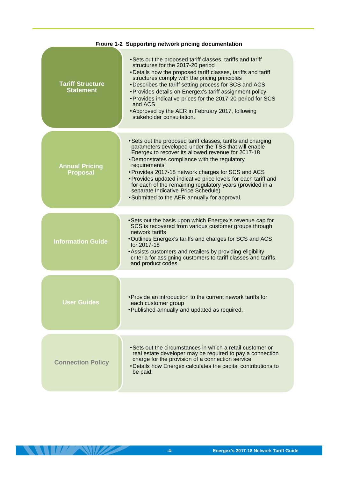<span id="page-7-0"></span>

|                                             | Figure 1-2 Supporting network pricing documentation                                                                                                                                                                                                                                                                                                                                                                                                                                                                    |
|---------------------------------------------|------------------------------------------------------------------------------------------------------------------------------------------------------------------------------------------------------------------------------------------------------------------------------------------------------------------------------------------------------------------------------------------------------------------------------------------------------------------------------------------------------------------------|
| <b>Tariff Structure</b><br><b>Statement</b> | • Sets out the proposed tariff classes, tariffs and tariff<br>structures for the 2017-20 period<br>• Details how the proposed tariff classes, tariffs and tariff<br>structures comply with the pricing principles<br>• Describes the tariff setting process for SCS and ACS<br>• Provides details on Energex's tariff assignment policy<br>• Provides indicative prices for the 2017-20 period for SCS<br>and ACS<br>• Approved by the AER in February 2017, following<br>stakeholder consultation.                    |
| <b>Annual Pricing</b><br><b>Proposal</b>    | • Sets out the proposed tariff classes, tariffs and charging<br>parameters developed under the TSS that will enable<br>Energex to recover its allowed revenue for 2017-18<br>•Demonstrates compliance with the regulatory<br>requirements<br>• Provides 2017-18 network charges for SCS and ACS<br>• Provides updated indicative price levels for each tariff and<br>for each of the remaining regulatory years (provided in a<br>separate Indicative Price Schedule)<br>• Submitted to the AER annually for approval. |
| <b>Information Guide</b>                    | • Sets out the basis upon which Energex's revenue cap for<br>SCS is recovered from various customer groups through<br>network tariffs<br>. Outlines Energex's tariffs and charges for SCS and ACS<br>for 2017-18<br>• Assists customers and retailers by providing eligibility<br>criteria for assigning customers to tariff classes and tariffs,<br>and product codes.                                                                                                                                                |
| <b>User Guides</b>                          | • Provide an introduction to the current nework tariffs for<br>each customer group<br>• Published annually and updated as required.                                                                                                                                                                                                                                                                                                                                                                                    |
| <b>Connection Policy</b>                    | • Sets out the circumstances in which a retail customer or<br>real estate developer may be required to pay a connection<br>charge for the provision of a connection service<br>• Details how Energex calculates the capital contributions to<br>be paid.                                                                                                                                                                                                                                                               |

**ANTIFACTURE AND ANTIFACTURE**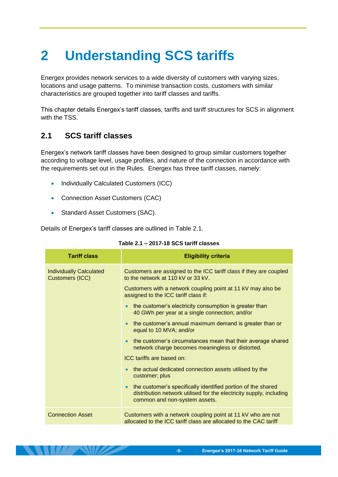# <span id="page-8-0"></span>**2 Understanding SCS tariffs**

Energex provides network services to a wide diversity of customers with varying sizes, locations and usage patterns. To minimise transaction costs, customers with similar characteristics are grouped together into tariff classes and tariffs.

This chapter details Energex's tariff classes, tariffs and tariff structures for SCS in alignment with the TSS.

# <span id="page-8-1"></span>**2.1 SCS tariff classes**

Energex's network tariff classes have been designed to group similar customers together according to voltage level, usage profiles, and nature of the connection in accordance with the requirements set out in the Rules. Energex has three tariff classes, namely:

- Individually Calculated Customers (ICC)
- Connection Asset Customers (CAC)
- Standard Asset Customers (SAC).

<span id="page-8-2"></span>Details of Energex's tariff classes are outlined in [Table 2.1.](#page-8-2)

| <b>Tariff class</b>                               | <b>Eligibility criteria</b>                                                                                                                                                       |
|---------------------------------------------------|-----------------------------------------------------------------------------------------------------------------------------------------------------------------------------------|
| <b>Individually Calculated</b><br>Customers (ICC) | Customers are assigned to the ICC tariff class if they are coupled<br>to the network at 110 kV or 33 kV.                                                                          |
|                                                   | Customers with a network coupling point at 11 kV may also be<br>assigned to the ICC tariff class if:                                                                              |
|                                                   | the customer's electricity consumption is greater than<br>$\bullet$<br>40 GWh per year at a single connection; and/or                                                             |
|                                                   | the customer's annual maximum demand is greater than or<br>$\bullet$<br>equal to 10 MVA; and/or                                                                                   |
|                                                   | the customer's circumstances mean that their average shared<br>$\bullet$<br>network charge becomes meaningless or distorted.                                                      |
|                                                   | ICC tariffs are based on:                                                                                                                                                         |
|                                                   | the actual dedicated connection assets utilised by the<br>customer; plus                                                                                                          |
|                                                   | the customer's specifically identified portion of the shared<br>$\bullet$<br>distribution network utilised for the electricity supply, including<br>common and non-system assets. |
| <b>Connection Asset</b>                           | Customers with a network coupling point at 11 kV who are not<br>allocated to the ICC tariff class are allocated to the CAC tariff                                                 |

#### **Table 2.1 – 2017-18 SCS tariff classes**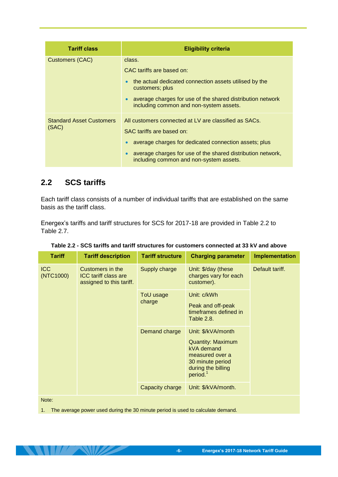| <b>Tariff class</b>                      | <b>Eligibility criteria</b>                                                                                                                                                                                                                           |
|------------------------------------------|-------------------------------------------------------------------------------------------------------------------------------------------------------------------------------------------------------------------------------------------------------|
| <b>Customers (CAC)</b>                   | class.<br>CAC tariffs are based on:<br>the actual dedicated connection assets utilised by the<br>customers; plus<br>average charges for use of the shared distribution network<br>$\bullet$<br>including common and non-system assets.                |
| <b>Standard Asset Customers</b><br>(SAC) | All customers connected at LV are classified as SACs.<br>SAC tariffs are based on:<br>average charges for dedicated connection assets; plus<br>average charges for use of the shared distribution network,<br>including common and non-system assets. |

### <span id="page-9-0"></span>**2.2 SCS tariffs**

Each tariff class consists of a number of individual tariffs that are established on the same basis as the tariff class.

Energex's tariffs and tariff structures for SCS for 2017-18 are provided in [Table 2.2](#page-9-1) to Table 2.7.

| <b>Tariff</b>           | <b>Tariff description</b>                                                   | <b>Tariff structure</b> | <b>Charging parameter</b>                                                                                                                         | Implementation  |
|-------------------------|-----------------------------------------------------------------------------|-------------------------|---------------------------------------------------------------------------------------------------------------------------------------------------|-----------------|
| <b>ICC</b><br>(NTC1000) | Customers in the<br><b>ICC tariff class are</b><br>assigned to this tariff. | Supply charge           | Unit: \$/day (these<br>charges vary for each<br>customer).                                                                                        | Default tariff. |
|                         |                                                                             | ToU usage<br>charge     | Unit: c/kWh<br>Peak and off-peak<br>timeframes defined in<br>Table 2.8.                                                                           |                 |
|                         |                                                                             | Demand charge           | Unit: \$/kVA/month<br><b>Quantity: Maximum</b><br>kVA demand<br>measured over a<br>30 minute period<br>during the billing<br>period. <sup>1</sup> |                 |
|                         |                                                                             | Capacity charge         | Unit: \$/kVA/month.                                                                                                                               |                 |
| $N = 1$                 |                                                                             |                         |                                                                                                                                                   |                 |

<span id="page-9-1"></span>**Table 2.2 - SCS tariffs and tariff structures for customers connected at 33 kV and above**

Note:

1. The average power used during the 30 minute period is used to calculate demand.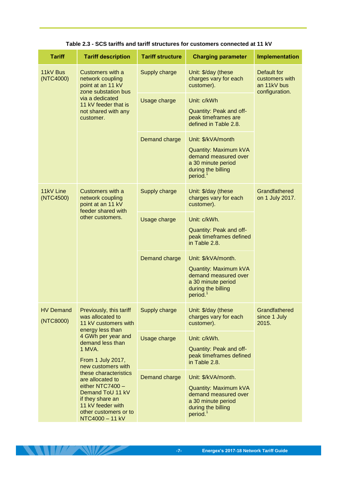<span id="page-10-0"></span>

| <b>Tariff</b>                 | <b>Tariff description</b>                                                                                                                                                                                                                                             | <b>Tariff structure</b> | <b>Charging parameter</b>                                                                                                                       | Implementation                                                 |
|-------------------------------|-----------------------------------------------------------------------------------------------------------------------------------------------------------------------------------------------------------------------------------------------------------------------|-------------------------|-------------------------------------------------------------------------------------------------------------------------------------------------|----------------------------------------------------------------|
| 11kV Bus<br>(NTC4000)         | Customers with a<br>network coupling<br>point at an 11 kV<br>zone substation bus<br>via a dedicated<br>11 kV feeder that is<br>not shared with any<br>customer.                                                                                                       | Supply charge           | Unit: \$/day (these<br>charges vary for each<br>customer).                                                                                      | Default for<br>customers with<br>an 11kV bus<br>configuration. |
|                               |                                                                                                                                                                                                                                                                       | Usage charge            | Unit: c/kWh<br>Quantity: Peak and off-<br>peak timeframes are<br>defined in Table 2.8.                                                          |                                                                |
|                               |                                                                                                                                                                                                                                                                       | Demand charge           | Unit: \$/kVA/month<br><b>Quantity: Maximum kVA</b><br>demand measured over<br>a 30 minute period<br>during the billing<br>period. <sup>1</sup>  |                                                                |
| 11kV Line<br>(NTC4500)        | Customers with a<br>network coupling<br>point at an 11 kV<br>feeder shared with<br>other customers.                                                                                                                                                                   | Supply charge           | Unit: \$/day (these<br>charges vary for each<br>customer).                                                                                      | Grandfathered<br>on 1 July 2017.                               |
|                               |                                                                                                                                                                                                                                                                       | Usage charge            | Unit: c/kWh.<br>Quantity: Peak and off-<br>peak timeframes defined<br>in Table 2.8.                                                             |                                                                |
|                               |                                                                                                                                                                                                                                                                       | Demand charge           | Unit: \$/kVA/month.<br><b>Quantity: Maximum kVA</b><br>demand measured over<br>a 30 minute period<br>during the billing<br>period. <sup>1</sup> |                                                                |
| <b>HV Demand</b><br>(NTC8000) | Previously, this tariff<br>was allocated to<br>11 kV customers with<br>energy less than                                                                                                                                                                               | Supply charge           | Unit: \$/day (these<br>charges vary for each<br>customer).                                                                                      | Grandfathered<br>since 1 July<br>2015.                         |
|                               | 4 GWh per year and<br>demand less than<br>1 MVA.<br>From 1 July 2017,<br>new customers with<br>these characteristics<br>are allocated to<br>either NTC7400 -<br>Demand ToU 11 kV<br>if they share an<br>11 kV feeder with<br>other customers or to<br>NTC4000 - 11 kV | Usage charge            | Unit: c/kWh.<br>Quantity: Peak and off-<br>peak timeframes defined<br>in Table 2.8.                                                             |                                                                |
|                               |                                                                                                                                                                                                                                                                       | Demand charge           | Unit: \$/kVA/month.<br>Quantity: Maximum kVA<br>demand measured over<br>a 30 minute period<br>during the billing<br>period. <sup>1</sup>        |                                                                |

#### **Table 2.3 - SCS tariffs and tariff structures for customers connected at 11 kV**

**THE REAL PROPERTY OF PERSONS**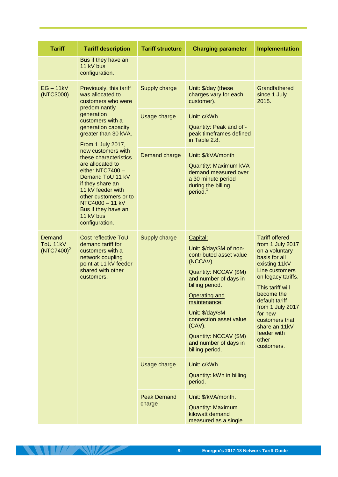| <b>Tariff</b>                       | <b>Tariff description</b>                                                                                                                                                                                                                          | <b>Tariff structure</b> | <b>Charging parameter</b>                                                                                                                                                                                                                                                                                                | Implementation                                                                                                                                                                                                                                                                                    |
|-------------------------------------|----------------------------------------------------------------------------------------------------------------------------------------------------------------------------------------------------------------------------------------------------|-------------------------|--------------------------------------------------------------------------------------------------------------------------------------------------------------------------------------------------------------------------------------------------------------------------------------------------------------------------|---------------------------------------------------------------------------------------------------------------------------------------------------------------------------------------------------------------------------------------------------------------------------------------------------|
|                                     | Bus if they have an<br>11 kV bus<br>configuration.                                                                                                                                                                                                 |                         |                                                                                                                                                                                                                                                                                                                          |                                                                                                                                                                                                                                                                                                   |
| $EG - 11kV$<br>(NTC3000)            | Previously, this tariff<br>was allocated to<br>customers who were                                                                                                                                                                                  | Supply charge           | Unit: \$/day (these<br>charges vary for each<br>customer).                                                                                                                                                                                                                                                               | Grandfathered<br>since 1 July<br>2015.                                                                                                                                                                                                                                                            |
|                                     | predominantly<br>generation<br>customers with a<br>generation capacity<br>greater than 30 kVA.<br>From 1 July 2017,                                                                                                                                | Usage charge            | Unit: c/kWh.<br>Quantity: Peak and off-<br>peak timeframes defined<br>in Table 2.8.                                                                                                                                                                                                                                      |                                                                                                                                                                                                                                                                                                   |
|                                     | new customers with<br>these characteristics<br>are allocated to<br>either NTC7400 -<br>Demand ToU 11 kV<br>if they share an<br>11 kV feeder with<br>other customers or to<br>NTC4000 - 11 kV<br>Bus if they have an<br>11 kV bus<br>configuration. | Demand charge           | Unit: \$/kVA/month<br><b>Quantity: Maximum kVA</b><br>demand measured over<br>a 30 minute period<br>during the billing<br>period. <sup>1</sup>                                                                                                                                                                           |                                                                                                                                                                                                                                                                                                   |
| Demand<br>ToU 11kV<br>$(NTC7400)^2$ | Cost reflective ToU<br>demand tariff for<br>customers with a<br>network coupling<br>point at 11 kV feeder<br>shared with other<br>customers.                                                                                                       | Supply charge           | Capital:<br>Unit: \$/day/\$M of non-<br>contributed asset value<br>(NCCAV).<br>Quantity: NCCAV (\$M)<br>and number of days in<br>billing period.<br><b>Operating and</b><br>maintenance:<br>Unit: \$/day/\$M<br>connection asset value<br>$(CAV)$ .<br>Quantity: NCCAV (\$M)<br>and number of days in<br>billing period. | <b>Tariff offered</b><br>from 1 July 2017<br>on a voluntary<br>basis for all<br>existing 11kV<br>Line customers<br>on legacy tariffs.<br>This tariff will<br>become the<br>default tariff<br>from 1 July 2017<br>for new<br>customers that<br>share an 11kV<br>feeder with<br>other<br>customers. |
|                                     |                                                                                                                                                                                                                                                    | Usage charge            | Unit: c/kWh.<br>Quantity: kWh in billing<br>period.                                                                                                                                                                                                                                                                      |                                                                                                                                                                                                                                                                                                   |
|                                     |                                                                                                                                                                                                                                                    |                         | <b>Peak Demand</b><br>charge                                                                                                                                                                                                                                                                                             | Unit: \$/kVA/month.<br><b>Quantity: Maximum</b><br>kilowatt demand<br>measured as a single                                                                                                                                                                                                        |

**ANTI AVEC 1999**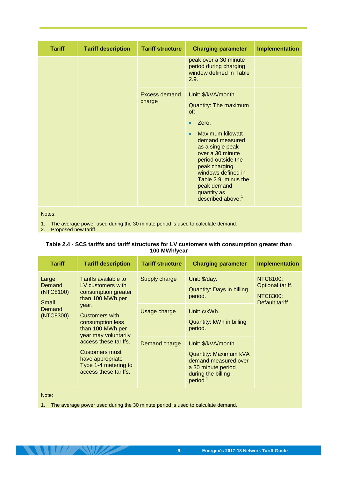| <b>Tariff</b> | <b>Tariff description</b> | <b>Tariff structure</b> | <b>Charging parameter</b>                                                                                                                                                                                                                                                                                                        | Implementation |
|---------------|---------------------------|-------------------------|----------------------------------------------------------------------------------------------------------------------------------------------------------------------------------------------------------------------------------------------------------------------------------------------------------------------------------|----------------|
|               |                           |                         | peak over a 30 minute<br>period during charging<br>window defined in Table<br>2.9.                                                                                                                                                                                                                                               |                |
|               |                           | Excess demand<br>charge | Unit: \$/kVA/month.<br>Quantity: The maximum<br>of:<br>Zero,<br>$\bullet$<br><b>Maximum kilowatt</b><br>$\bullet$<br>demand measured<br>as a single peak<br>over a 30 minute<br>period outside the<br>peak charging<br>windows defined in<br>Table 2.9, minus the<br>peak demand<br>quantity as<br>described above. <sup>1</sup> |                |

Notes:

1. The average power used during the 30 minute period is used to calculate demand.

<span id="page-12-0"></span>2. Proposed new tariff.

#### **Table 2.4 - SCS tariffs and tariff structures for LV customers with consumption greater than 100 MWh/year**

| <b>Tariff</b>                                                | <b>Tariff description</b>                                                                                                                                                                                                                                                                                     | <b>Tariff structure</b> | <b>Charging parameter</b>                                                                                                                       | <b>Implementation</b>                                       |
|--------------------------------------------------------------|---------------------------------------------------------------------------------------------------------------------------------------------------------------------------------------------------------------------------------------------------------------------------------------------------------------|-------------------------|-------------------------------------------------------------------------------------------------------------------------------------------------|-------------------------------------------------------------|
| Large<br>Demand<br>(NTC8100)<br>Small<br>Demand<br>(NTC8300) | Tariffs available to<br>LV customers with<br>consumption greater<br>than 100 MWh per<br>year.<br><b>Customers with</b><br>consumption less<br>than 100 MWh per<br>year may voluntarily<br>access these tariffs.<br><b>Customers must</b><br>have appropriate<br>Type 1-4 metering to<br>access these tariffs. | Supply charge           | Unit: \$/day.<br><b>Quantity: Days in billing</b><br>period.                                                                                    | NTC8100:<br>Optional tariff.<br>NTC8300:<br>Default tariff. |
|                                                              |                                                                                                                                                                                                                                                                                                               | Usage charge            | Unit: c/kWh.<br>Quantity: kWh in billing<br>period.                                                                                             |                                                             |
|                                                              |                                                                                                                                                                                                                                                                                                               | Demand charge           | Unit: \$/kVA/month.<br><b>Quantity: Maximum kVA</b><br>demand measured over<br>a 30 minute period<br>during the billing<br>period. <sup>1</sup> |                                                             |

Note:

**ANTIFANIZA** 

<span id="page-12-1"></span>1. The average power used during the 30 minute period is used to calculate demand.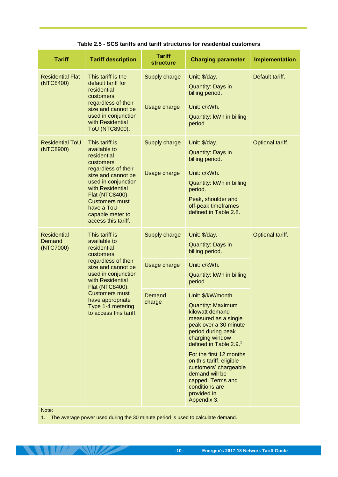**Table 2.5 - SCS tariffs and tariff structures for residential customers**

| <b>Tariff</b>                             | <b>Tariff description</b>                                                                                                                                                                 | <b>Tariff</b><br><b>structure</b> | <b>Charging parameter</b>                                                                                                                                                                                                                                                                                                                                                | <b>Implementation</b> |
|-------------------------------------------|-------------------------------------------------------------------------------------------------------------------------------------------------------------------------------------------|-----------------------------------|--------------------------------------------------------------------------------------------------------------------------------------------------------------------------------------------------------------------------------------------------------------------------------------------------------------------------------------------------------------------------|-----------------------|
| <b>Residential Flat</b><br>(NTC8400)      | This tariff is the<br>default tariff for<br>residential<br>customers                                                                                                                      | Supply charge                     | Unit: \$/day.<br><b>Quantity: Days in</b><br>billing period.                                                                                                                                                                                                                                                                                                             | Default tariff.       |
|                                           | regardless of their<br>size and cannot be<br>used in conjunction<br>with Residential<br>ToU (NTC8900).                                                                                    | Usage charge                      | Unit: c/kWh.<br>Quantity: kWh in billing<br>period.                                                                                                                                                                                                                                                                                                                      |                       |
| <b>Residential ToU</b><br>(NTC8900)       | This tariff is<br>available to<br>residential<br>customers                                                                                                                                | Supply charge                     | Unit: \$/day.<br><b>Quantity: Days in</b><br>billing period.                                                                                                                                                                                                                                                                                                             | Optional tariff.      |
|                                           | regardless of their<br>size and cannot be<br>used in conjunction<br>with Residential<br>Flat (NTC8400).<br><b>Customers must</b><br>have a ToU<br>capable meter to<br>access this tariff. | Usage charge                      | Unit: c/kWh.<br>Quantity: kWh in billing<br>period.<br>Peak, shoulder and<br>off-peak timeframes<br>defined in Table 2.8.                                                                                                                                                                                                                                                |                       |
| <b>Residential</b><br>Demand<br>(NTC7000) | This tariff is<br>available to<br>residential<br>customers<br>regardless of their<br>size and cannot be<br>used in conjunction<br>with Residential<br>Flat (NTC8400).                     | Supply charge                     | Unit: \$/day.<br><b>Quantity: Days in</b><br>billing period.                                                                                                                                                                                                                                                                                                             | Optional tariff.      |
|                                           |                                                                                                                                                                                           | Usage charge                      | Unit: c/kWh.<br>Quantity: kWh in billing<br>period.                                                                                                                                                                                                                                                                                                                      |                       |
|                                           | <b>Customers must</b><br>have appropriate<br>Type 1-4 metering<br>to access this tariff.                                                                                                  | Demand<br>charge                  | Unit: \$/kW/month.<br><b>Quantity: Maximum</b><br>kilowatt demand<br>measured as a single<br>peak over a 30 minute<br>period during peak<br>charging window<br>defined in Table 2.9. <sup>1</sup><br>For the first 12 months<br>on this tariff, eligible<br>customers' chargeable<br>demand will be<br>capped. Terms and<br>conditions are<br>provided in<br>Appendix 3. |                       |
| Note:                                     |                                                                                                                                                                                           |                                   |                                                                                                                                                                                                                                                                                                                                                                          |                       |

1. The average power used during the 30 minute period is used to calculate demand.

 $\frac{1}{2}$ 

**DATE**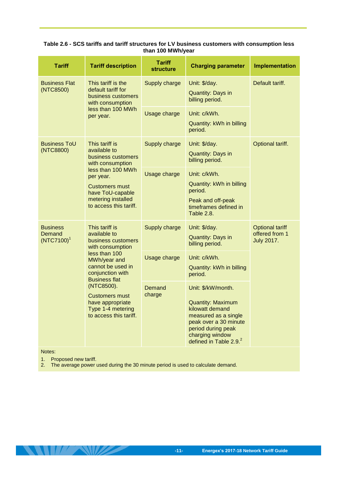| <b>Tariff</b>                                                                                                                       | <b>Tariff description</b>                                                                                                   | <b>Tariff</b><br><b>structure</b> | <b>Charging parameter</b>                                                                                                                                                                         | <b>Implementation</b>                                         |
|-------------------------------------------------------------------------------------------------------------------------------------|-----------------------------------------------------------------------------------------------------------------------------|-----------------------------------|---------------------------------------------------------------------------------------------------------------------------------------------------------------------------------------------------|---------------------------------------------------------------|
| <b>Business Flat</b><br>This tariff is the<br>default tariff for<br>(NTC8500)<br>with consumption<br>less than 100 MWh<br>per year. | business customers                                                                                                          | Supply charge                     | Unit: \$/day.<br><b>Quantity: Days in</b><br>billing period.                                                                                                                                      | Default tariff.                                               |
|                                                                                                                                     |                                                                                                                             | Usage charge                      | Unit: c/kWh.<br>Quantity: kWh in billing<br>period.                                                                                                                                               |                                                               |
| <b>Business ToU</b><br>(NTC8800)                                                                                                    | This tariff is<br>available to<br>business customers<br>with consumption                                                    |                                   | Unit: \$/day.<br>Quantity: Days in<br>billing period.                                                                                                                                             | Optional tariff.                                              |
|                                                                                                                                     | less than 100 MWh<br>per year.<br><b>Customers must</b><br>have ToU-capable<br>metering installed<br>to access this tariff. | Usage charge                      | Unit: c/kWh.<br>Quantity: kWh in billing<br>period.<br>Peak and off-peak<br>timeframes defined in<br><b>Table 2.8.</b>                                                                            |                                                               |
| <b>Business</b><br>Demand<br>$(NTC7100)^{1}$                                                                                        | This tariff is<br>available to<br>business customers<br>with consumption                                                    | Supply charge                     | Unit: \$/day.<br><b>Quantity: Days in</b><br>billing period.                                                                                                                                      | <b>Optional tariff</b><br>offered from 1<br><b>July 2017.</b> |
|                                                                                                                                     | less than 100<br>MWh/year and<br>cannot be used in<br>conjunction with<br><b>Business flat</b>                              | Usage charge                      | Unit: c/kWh.<br>Quantity: kWh in billing<br>period.                                                                                                                                               |                                                               |
|                                                                                                                                     | (NTC8500).<br><b>Customers must</b><br>have appropriate<br>Type 1-4 metering<br>to access this tariff.                      | Demand<br>charge                  | Unit: \$/kW/month.<br><b>Quantity: Maximum</b><br>kilowatt demand<br>measured as a single<br>peak over a 30 minute<br>period during peak<br>charging window<br>defined in Table 2.9. <sup>2</sup> |                                                               |

#### <span id="page-14-0"></span>**Table 2.6 - SCS tariffs and tariff structures for LV business customers with consumption less than 100 MWh/year**

Notes:

1. Proposed new tariff.

**THE REAL PROPERTY** 

<span id="page-14-1"></span>2. The average power used during the 30 minute period is used to calculate demand.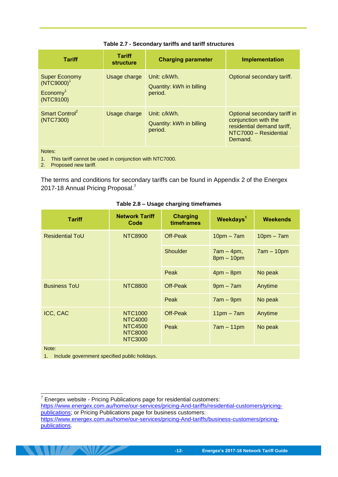| <b>Tariff</b>                                                              | <b>Tariff</b><br><b>structure</b> | <b>Charging parameter</b>                           | <b>Implementation</b>                                                                                                  |
|----------------------------------------------------------------------------|-----------------------------------|-----------------------------------------------------|------------------------------------------------------------------------------------------------------------------------|
| <b>Super Economy</b><br>$(NTC9000)^1$<br>Economy <sup>1</sup><br>(NTC9100) | Usage charge                      | Unit: c/kWh.<br>Quantity: kWh in billing<br>period. | Optional secondary tariff.                                                                                             |
| Smart Control <sup>2</sup><br>(NTC7300)                                    | Usage charge                      | Unit: c/kWh.<br>Quantity: kWh in billing<br>period. | Optional secondary tariff in<br>conjunction with the<br>residential demand tariff,<br>NTC7000 - Residential<br>Demand. |
| Notes:                                                                     |                                   |                                                     |                                                                                                                        |

#### **Table 2.7 - Secondary tariffs and tariff structures**

1. This tariff cannot be used in conjunction with NTC7000. 2. Proposed new tariff.

The terms and conditions for secondary tariffs can be found in Appendix 2 of the Energex 2017-18 Annual Pricing Proposal.<sup>7</sup>

<span id="page-15-0"></span>

| <b>Tariff</b>                                         | <b>Network Tariff</b><br>Code                      | <b>Charging</b><br>timeframes | Weekdays <sup>1</sup>        | <b>Weekends</b> |
|-------------------------------------------------------|----------------------------------------------------|-------------------------------|------------------------------|-----------------|
| <b>Residential ToU</b>                                | <b>NTC8900</b>                                     | Off-Peak                      | $10pm - 7am$                 | $10pm - 7am$    |
|                                                       |                                                    | <b>Shoulder</b>               | $7am - 4pm,$<br>$8pm - 10pm$ | $7am - 10pm$    |
|                                                       |                                                    | Peak                          | $4pm - 8pm$                  | No peak         |
| <b>Business ToU</b>                                   | <b>NTC8800</b>                                     | <b>Off-Peak</b>               | $9pm - 7am$                  | Anytime         |
|                                                       |                                                    | Peak                          | $7am - 9pm$                  | No peak         |
| ICC, CAC                                              | <b>NTC1000</b><br>NTC4000                          | Off-Peak                      | $11pm - 7am$                 | Anytime         |
|                                                       | <b>NTC4500</b><br><b>NTC8000</b><br><b>NTC3000</b> | Peak                          | $7am - 11pm$                 | No peak         |
| Note:                                                 |                                                    |                               |                              |                 |
| Include anyernment specified public holidays<br>$1 -$ |                                                    |                               |                              |                 |

#### **Table 2.8 – Usage charging timeframes**

<span id="page-15-1"></span>1. Include government specified public holidays.

<sup>-</sup> $7$  Energex website - Pricing Publications page for residential customers: [https://www.energex.com.au/home/our-services/pricing-And-tariffs/residential-customers/pricing](https://www.energex.com.au/home/our-services/pricing-And-tariffs/residential-customers/pricing-publications)[publications;](https://www.energex.com.au/home/our-services/pricing-And-tariffs/residential-customers/pricing-publications) or Pricing Publications page for business customers: [https://www.energex.com.au/home/our-services/pricing-And-tariffs/business-customers/pricing](https://www.energex.com.au/home/our-services/pricing-And-tariffs/business-customers/pricing-publications)[publications.](https://www.energex.com.au/home/our-services/pricing-And-tariffs/business-customers/pricing-publications)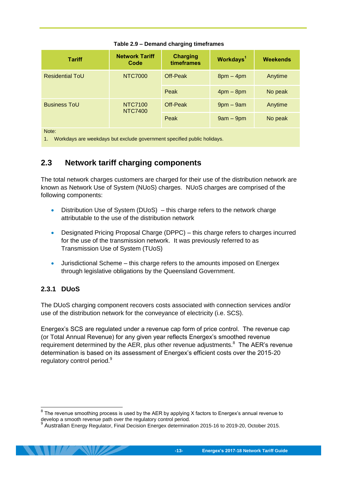| <b>Tariff</b>          | <b>Network Tariff</b><br>Code | <b>Charging</b><br>timeframes | Workdays <sup>1</sup> | <b>Weekends</b> |
|------------------------|-------------------------------|-------------------------------|-----------------------|-----------------|
| <b>Residential ToU</b> | <b>NTC7000</b>                | Off-Peak                      | $8pm - 4pm$           | Anytime         |
|                        |                               | Peak                          | $4pm - 8pm$           | No peak         |
| <b>Business ToU</b>    | NTC7100<br><b>NTC7400</b>     | Off-Peak                      | $9$ pm $-9$ am        | Anytime         |
|                        |                               | Peak                          | $9am - 9pm$           | No peak         |
| Note:                  |                               |                               |                       |                 |

#### **Table 2.9 – Demand charging timeframes**

Note:

1. Workdays are weekdays but exclude government specified public holidays.

### <span id="page-16-0"></span>**2.3 Network tariff charging components**

The total network charges customers are charged for their use of the distribution network are known as Network Use of System (NUoS) charges. NUoS charges are comprised of the following components:

- Distribution Use of System (DUoS) this charge refers to the network charge attributable to the use of the distribution network
- Designated Pricing Proposal Charge (DPPC) this charge refers to charges incurred for the use of the transmission network. It was previously referred to as Transmission Use of System (TUoS)
- Jurisdictional Scheme this charge refers to the amounts imposed on Energex through legislative obligations by the Queensland Government.

#### <span id="page-16-1"></span>**2.3.1 DUoS**

The DUoS charging component recovers costs associated with connection services and/or use of the distribution network for the conveyance of electricity (i.e. SCS).

Energex's SCS are regulated under a revenue cap form of price control. The revenue cap (or Total Annual Revenue) for any given year reflects Energex's smoothed revenue requirement determined by the AER, plus other revenue adjustments.<sup>8</sup> The AER's revenue determination is based on its assessment of Energex's efficient costs over the 2015-20 regulatory control period.<sup>9</sup>

<sup>————————————————————&</sup>lt;br><sup>8</sup> The revenue smoothing process is used by the AER by applying X factors to Energex's annual revenue to develop a smooth revenue path over the regulatory control period.<br>9 Augtralian Energy Regulator, Final Desision Energey determined

Australian Energy Regulator, Final Decision Energex determination 2015-16 to 2019-20, October 2015.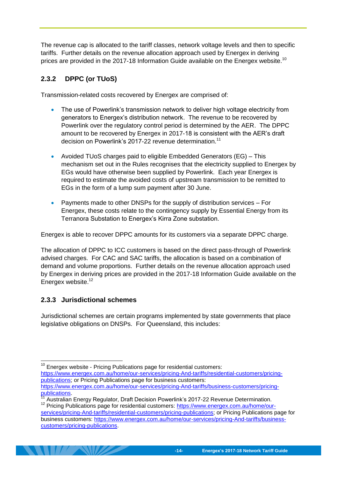The revenue cap is allocated to the tariff classes, network voltage levels and then to specific tariffs. Further details on the revenue allocation approach used by Energex in deriving prices are provided in the 2017-18 Information Guide available on the Energex website.<sup>10</sup>

### <span id="page-17-0"></span>**2.3.2 DPPC (or TUoS)**

Transmission-related costs recovered by Energex are comprised of:

- The use of Powerlink's transmission network to deliver high voltage electricity from generators to Energex's distribution network. The revenue to be recovered by Powerlink over the regulatory control period is determined by the AER. The DPPC amount to be recovered by Energex in 2017-18 is consistent with the AER's draft decision on Powerlink's 2017-22 revenue determination.<sup>11</sup>
- Avoided TUoS charges paid to eligible Embedded Generators (EG) This mechanism set out in the Rules recognises that the electricity supplied to Energex by EGs would have otherwise been supplied by Powerlink. Each year Energex is required to estimate the avoided costs of upstream transmission to be remitted to EGs in the form of a lump sum payment after 30 June.
- Payments made to other DNSPs for the supply of distribution services For Energex, these costs relate to the contingency supply by Essential Energy from its Terranora Substation to Energex's Kirra Zone substation.

Energex is able to recover DPPC amounts for its customers via a separate DPPC charge.

The allocation of DPPC to ICC customers is based on the direct pass-through of Powerlink advised charges. For CAC and SAC tariffs, the allocation is based on a combination of demand and volume proportions. Further details on the revenue allocation approach used by Energex in deriving prices are provided in the 2017-18 Information Guide available on the Energex website.<sup>12</sup>

#### <span id="page-17-1"></span>**2.3.3 Jurisdictional schemes**

 $\overline{1}$ 

Jurisdictional schemes are certain programs implemented by state governments that place legislative obligations on DNSPs. For Queensland, this includes:

 $10$  Energex website - Pricing Publications page for residential customers:

[https://www.energex.com.au/home/our-services/pricing-And-tariffs/residential-customers/pricing](https://www.energex.com.au/home/our-services/pricing-And-tariffs/residential-customers/pricing-publications)[publications;](https://www.energex.com.au/home/our-services/pricing-And-tariffs/residential-customers/pricing-publications) or Pricing Publications page for business customers:

[https://www.energex.com.au/home/our-services/pricing-And-tariffs/business-customers/pricing](https://www.energex.com.au/home/our-services/pricing-And-tariffs/business-customers/pricing-publications)[publications.](https://www.energex.com.au/home/our-services/pricing-And-tariffs/business-customers/pricing-publications)

Australian Energy Regulator, Draft Decision Powerlink's 2017-22 Revenue Determination.

<sup>&</sup>lt;sup>12</sup> Pricing Publications page for residential customers: [https://www.energex.com.au/home/our](https://www.energex.com.au/home/our-services/pricing-And-tariffs/residential-customers/pricing-publications)[services/pricing-And-tariffs/residential-customers/pricing-publications;](https://www.energex.com.au/home/our-services/pricing-And-tariffs/residential-customers/pricing-publications) or Pricing Publications page for business customers: [https://www.energex.com.au/home/our-services/pricing-And-tariffs/business](https://www.energex.com.au/home/our-services/pricing-And-tariffs/business-customers/pricing-publications)[customers/pricing-publications.](https://www.energex.com.au/home/our-services/pricing-And-tariffs/business-customers/pricing-publications)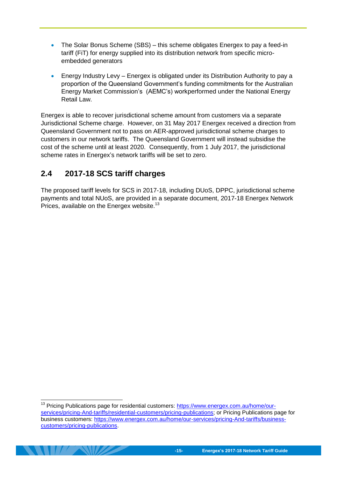- The Solar Bonus Scheme (SBS) this scheme obligates Energex to pay a feed-in tariff (FiT) for energy supplied into its distribution network from specific microembedded generators
- Energy Industry Levy Energex is obligated under its Distribution Authority to pay a proportion of the Queensland Government's funding commitments for the Australian Energy Market Commission's (AEMC's) workperformed under the National Energy Retail Law

Energex is able to recover jurisdictional scheme amount from customers via a separate Jurisdictional Scheme charge. However, on 31 May 2017 Energex received a direction from Queensland Government not to pass on AER-approved jurisdictional scheme charges to customers in our network tariffs. The Queensland Government will instead subsidise the cost of the scheme until at least 2020. Consequently, from 1 July 2017, the jurisdictional scheme rates in Energex's network tariffs will be set to zero.

# <span id="page-18-0"></span>**2.4 2017-18 SCS tariff charges**

-

The proposed tariff levels for SCS in 2017-18, including DUoS, DPPC, jurisdictional scheme payments and total NUoS, are provided in a separate document, 2017-18 Energex Network Prices, available on the Energex website.<sup>13</sup>

<sup>&</sup>lt;sup>13</sup> Pricing Publications page for residential customers: [https://www.energex.com.au/home/our](https://www.energex.com.au/home/our-services/pricing-And-tariffs/residential-customers/pricing-publications)[services/pricing-And-tariffs/residential-customers/pricing-publications;](https://www.energex.com.au/home/our-services/pricing-And-tariffs/residential-customers/pricing-publications) or Pricing Publications page for business customers: [https://www.energex.com.au/home/our-services/pricing-And-tariffs/business](https://www.energex.com.au/home/our-services/pricing-And-tariffs/business-customers/pricing-publications)[customers/pricing-publications.](https://www.energex.com.au/home/our-services/pricing-And-tariffs/business-customers/pricing-publications)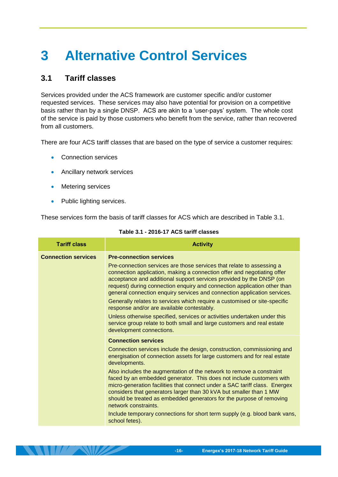# <span id="page-19-0"></span>**3 Alternative Control Services**

# <span id="page-19-1"></span>**3.1 Tariff classes**

Services provided under the ACS framework are customer specific and/or customer requested services. These services may also have potential for provision on a competitive basis rather than by a single DNSP. ACS are akin to a 'user-pays' system. The whole cost of the service is paid by those customers who benefit from the service, rather than recovered from all customers.

There are four ACS tariff classes that are based on the type of service a customer requires:

- Connection services
- **Ancillary network services**
- **•** Metering services
- Public lighting services.

<span id="page-19-2"></span>These services form the basis of tariff classes for ACS which are described in [Table 3.1.](#page-19-2)

| <b>Tariff class</b>        | <b>Activity</b>                                                                                                                                                                                                                                                                                                                                                                                                                                                                                                                              |
|----------------------------|----------------------------------------------------------------------------------------------------------------------------------------------------------------------------------------------------------------------------------------------------------------------------------------------------------------------------------------------------------------------------------------------------------------------------------------------------------------------------------------------------------------------------------------------|
| <b>Connection services</b> | <b>Pre-connection services</b><br>Pre-connection services are those services that relate to assessing a<br>connection application, making a connection offer and negotiating offer<br>acceptance and additional support services provided by the DNSP (on<br>request) during connection enquiry and connection application other than<br>general connection enquiry services and connection application services.<br>Generally relates to services which require a customised or site-specific<br>response and/or are available contestably. |
|                            | Unless otherwise specified, services or activities undertaken under this<br>service group relate to both small and large customers and real estate<br>development connections.                                                                                                                                                                                                                                                                                                                                                               |
|                            | <b>Connection services</b>                                                                                                                                                                                                                                                                                                                                                                                                                                                                                                                   |
|                            | Connection services include the design, construction, commissioning and<br>energisation of connection assets for large customers and for real estate<br>developments.                                                                                                                                                                                                                                                                                                                                                                        |
|                            | Also includes the augmentation of the network to remove a constraint<br>faced by an embedded generator. This does not include customers with<br>micro-generation facilities that connect under a SAC tariff class. Energex<br>considers that generators larger than 30 kVA but smaller than 1 MW<br>should be treated as embedded generators for the purpose of removing<br>network constraints.                                                                                                                                             |
|                            | Include temporary connections for short term supply (e.g. blood bank vans,<br>school fetes).                                                                                                                                                                                                                                                                                                                                                                                                                                                 |

#### **Table 3.1 - 2016-17 ACS tariff classes**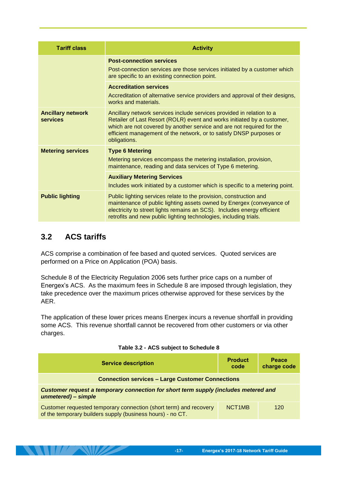| <b>Tariff class</b>                         | <b>Activity</b>                                                                                                                                                                                                                                                                                                  |
|---------------------------------------------|------------------------------------------------------------------------------------------------------------------------------------------------------------------------------------------------------------------------------------------------------------------------------------------------------------------|
|                                             | <b>Post-connection services</b><br>Post-connection services are those services initiated by a customer which<br>are specific to an existing connection point.                                                                                                                                                    |
|                                             | <b>Accreditation services</b><br>Accreditation of alternative service providers and approval of their designs,<br>works and materials.                                                                                                                                                                           |
| <b>Ancillary network</b><br><b>services</b> | Ancillary network services include services provided in relation to a<br>Retailer of Last Resort (ROLR) event and works initiated by a customer,<br>which are not covered by another service and are not required for the<br>efficient management of the network, or to satisfy DNSP purposes or<br>obligations. |
| <b>Metering services</b>                    | <b>Type 6 Metering</b><br>Metering services encompass the metering installation, provision,<br>maintenance, reading and data services of Type 6 metering.                                                                                                                                                        |
|                                             | <b>Auxiliary Metering Services</b>                                                                                                                                                                                                                                                                               |
|                                             | Includes work initiated by a customer which is specific to a metering point.                                                                                                                                                                                                                                     |
| <b>Public lighting</b>                      | Public lighting services relate to the provision, construction and<br>maintenance of public lighting assets owned by Energex (conveyance of<br>electricity to street lights remains an SCS). Includes energy efficient<br>retrofits and new public lighting technologies, including trials.                      |

# <span id="page-20-0"></span>**3.2 ACS tariffs**

**THE SHOP SHOP** 

ACS comprise a combination of fee based and quoted services. Quoted services are performed on a Price on Application (POA) basis.

Schedule 8 of the Electricity Regulation 2006 sets further price caps on a number of Energex's ACS. As the maximum fees in Schedule 8 are imposed through legislation, they take precedence over the maximum prices otherwise approved for these services by the AER.

The application of these lower prices means Energex incurs a revenue shortfall in providing some ACS. This revenue shortfall cannot be recovered from other customers or via other charges.

<span id="page-20-1"></span>

| <b>Service description</b>                                                                                                      | <b>Product</b><br>code | <b>Peace</b><br>charge code |  |
|---------------------------------------------------------------------------------------------------------------------------------|------------------------|-----------------------------|--|
| <b>Connection services - Large Customer Connections</b>                                                                         |                        |                             |  |
| Customer request a temporary connection for short term supply (includes metered and<br>unmetered) - simple                      |                        |                             |  |
| Customer requested temporary connection (short term) and recovery<br>of the temporary builders supply (business hours) - no CT. | NCT <sub>1</sub> MB    | 120                         |  |

**Table 3.2 - ACS subject to Schedule 8**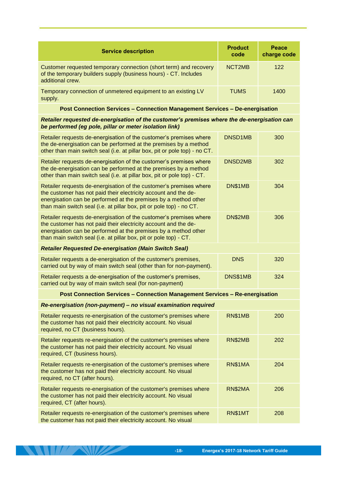| <b>Service description</b>                                                                                                                                | <b>Product</b><br>code | <b>Peace</b><br>charge code |
|-----------------------------------------------------------------------------------------------------------------------------------------------------------|------------------------|-----------------------------|
| Customer requested temporary connection (short term) and recovery<br>of the temporary builders supply (business hours) - CT. Includes<br>additional crew. | NCT <sub>2MB</sub>     | 122                         |
| Temporary connection of unmetered equipment to an existing LV<br>supply.                                                                                  | <b>TUMS</b>            | 1400                        |

**Post Connection Services – Connection Management Services – De-energisation**

*Retailer requested de-energisation of the customer's premises where the de-energisation can be performed (eg pole, pillar or meter isolation link)*

| Retailer requests de-energisation of the customer's premises where<br>the de-energisation can be performed at the premises by a method<br>other than main switch seal (i.e. at pillar box, pit or pole top) - no CT.                                                             | DNSD1MB    | 300 |
|----------------------------------------------------------------------------------------------------------------------------------------------------------------------------------------------------------------------------------------------------------------------------------|------------|-----|
| Retailer requests de-energisation of the customer's premises where<br>the de-energisation can be performed at the premises by a method<br>other than main switch seal (i.e. at pillar box, pit or pole top) - CT.                                                                | DNSD2MB    | 302 |
| Retailer requests de-energisation of the customer's premises where<br>the customer has not paid their electricity account and the de-<br>energisation can be performed at the premises by a method other<br>than main switch seal (i.e. at pillar box, pit or pole top) - no CT. | DN\$1MB    | 304 |
| Retailer requests de-energisation of the customer's premises where<br>the customer has not paid their electricity account and the de-<br>energisation can be performed at the premises by a method other<br>than main switch seal (i.e. at pillar box, pit or pole top) - CT.    | DN\$2MB    | 306 |
| <b>Retailer Requested De-energisation (Main Switch Seal)</b>                                                                                                                                                                                                                     |            |     |
| Retailer requests a de-energisation of the customer's premises,<br>carried out by way of main switch seal (other than for non-payment).                                                                                                                                          | <b>DNS</b> | 320 |
| Retailer requests a de-energisation of the customer's premises,<br>carried out by way of main switch seal (for non-payment)                                                                                                                                                      | DNS\$1MB   | 324 |
| <b>Post Connection Services - Connection Management Services - Re-energisation</b>                                                                                                                                                                                               |            |     |
| Re-energisation (non-payment) - no visual examination required                                                                                                                                                                                                                   |            |     |
| Retailer requests re-energisation of the customer's premises where<br>the customer has not paid their electricity account. No visual<br>required, no CT (business hours).                                                                                                        | RN\$1MB    | 200 |
|                                                                                                                                                                                                                                                                                  |            |     |
| Retailer requests re-energisation of the customer's premises where<br>the customer has not paid their electricity account. No visual<br>required, CT (business hours).                                                                                                           | RN\$2MB    | 202 |
| Retailer requests re-energisation of the customer's premises where<br>the customer has not paid their electricity account. No visual<br>required, no CT (after hours).                                                                                                           | RN\$1MA    | 204 |
| Retailer requests re-energisation of the customer's premises where<br>the customer has not paid their electricity account. No visual<br>required, CT (after hours).                                                                                                              | RN\$2MA    | 206 |

**ANTIFACTURE AND ANTIFACTURE**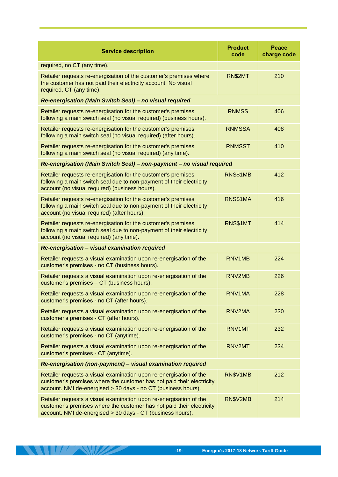| <b>Service description</b>                                                                                                                                                                                   | <b>Product</b><br>code | <b>Peace</b><br>charge code |  |
|--------------------------------------------------------------------------------------------------------------------------------------------------------------------------------------------------------------|------------------------|-----------------------------|--|
| required, no CT (any time).                                                                                                                                                                                  |                        |                             |  |
| Retailer requests re-energisation of the customer's premises where<br>the customer has not paid their electricity account. No visual<br>required, CT (any time).                                             | RN\$2MT                | 210                         |  |
| Re-energisation (Main Switch Seal) - no visual required                                                                                                                                                      |                        |                             |  |
| Retailer requests re-energisation for the customer's premises<br>following a main switch seal (no visual required) (business hours).                                                                         | <b>RNMSS</b>           | 406                         |  |
| Retailer requests re-energisation for the customer's premises<br>following a main switch seal (no visual required) (after hours).                                                                            | <b>RNMSSA</b>          | 408                         |  |
| Retailer requests re-energisation for the customer's premises<br>following a main switch seal (no visual required) (any time).                                                                               | <b>RNMSST</b>          | 410                         |  |
| Re-energisation (Main Switch Seal) - non-payment - no visual required                                                                                                                                        |                        |                             |  |
| Retailer requests re-energisation for the customer's premises<br>following a main switch seal due to non-payment of their electricity<br>account (no visual required) (business hours).                      | RNS\$1MB               | 412                         |  |
| Retailer requests re-energisation for the customer's premises<br>following a main switch seal due to non-payment of their electricity<br>account (no visual required) (after hours).                         | RNS\$1MA               | 416                         |  |
| Retailer requests re-energisation for the customer's premises<br>following a main switch seal due to non-payment of their electricity<br>account (no visual required) (any time).                            | RNS\$1MT               | 414                         |  |
| Re-energisation - visual examination required                                                                                                                                                                |                        |                             |  |
| Retailer requests a visual examination upon re-energisation of the<br>customer's premises - no CT (business hours).                                                                                          | RNV1MB                 | 224                         |  |
| Retailer requests a visual examination upon re-energisation of the<br>customer's premises - CT (business hours).                                                                                             | RNV2MB                 | 226                         |  |
| Retailer requests a visual examination upon re-energisation of the<br>customer's premises - no CT (after hours).                                                                                             | RNV1MA                 | 228                         |  |
| Retailer requests a visual examination upon re-energisation of the<br>customer's premises - CT (after hours).                                                                                                | RNV2MA                 | 230                         |  |
| Retailer requests a visual examination upon re-energisation of the<br>customer's premises - no CT (anytime).                                                                                                 | RNV1MT                 | 232                         |  |
| Retailer requests a visual examination upon re-energisation of the<br>customer's premises - CT (anytime).                                                                                                    | RNV2MT                 | 234                         |  |
| Re-energisation (non-payment) - visual examination required                                                                                                                                                  |                        |                             |  |
| Retailer requests a visual examination upon re-energisation of the<br>customer's premises where the customer has not paid their electricity<br>account. NMI de-energised > 30 days - no CT (business hours). | RN\$V1MB               | 212                         |  |
| Retailer requests a visual examination upon re-energisation of the<br>customer's premises where the customer has not paid their electricity<br>account. NMI de-energised > 30 days - CT (business hours).    | RN\$V2MB               | 214                         |  |

**THE REAL PROPERTY**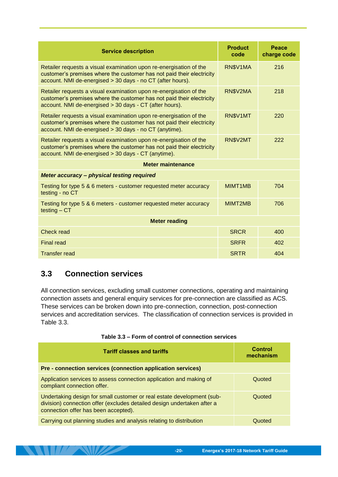| <b>Service description</b>                                                                                                                                                                                | <b>Product</b><br>code | Peace<br>charge code |
|-----------------------------------------------------------------------------------------------------------------------------------------------------------------------------------------------------------|------------------------|----------------------|
| Retailer requests a visual examination upon re-energisation of the<br>customer's premises where the customer has not paid their electricity<br>account. NMI de-energised > 30 days - no CT (after hours). | RN\$V1MA               | 216                  |
| Retailer requests a visual examination upon re-energisation of the<br>customer's premises where the customer has not paid their electricity<br>account. NMI de-energised > 30 days - CT (after hours).    | RN\$V2MA               | 218                  |
| Retailer requests a visual examination upon re-energisation of the<br>customer's premises where the customer has not paid their electricity<br>account. NMI de-energised > 30 days - no CT (anytime).     | RN\$V1MT               | 220                  |
| Retailer requests a visual examination upon re-energisation of the<br>customer's premises where the customer has not paid their electricity<br>account. NMI de-energised > 30 days - CT (anytime).        | RN\$V2MT               | 222                  |
| <b>Meter maintenance</b>                                                                                                                                                                                  |                        |                      |
| Meter accuracy - physical testing required                                                                                                                                                                |                        |                      |
| Testing for type 5 & 6 meters - customer requested meter accuracy<br>testing - no CT                                                                                                                      | MIMT1MB                | 704                  |
| Testing for type 5 & 6 meters - customer requested meter accuracy<br>$testing - CT$                                                                                                                       | MIMT2MB                | 706                  |
| <b>Meter reading</b>                                                                                                                                                                                      |                        |                      |
| Check read                                                                                                                                                                                                | <b>SRCR</b>            | 400                  |
| <b>Final read</b>                                                                                                                                                                                         | <b>SRFR</b>            | 402                  |
| <b>Transfer read</b>                                                                                                                                                                                      | <b>SRTR</b>            | 404                  |

### <span id="page-23-0"></span>**3.3 Connection services**

**THE REAL PROPERTY** 

All connection services, excluding small customer connections, operating and maintaining connection assets and general enquiry services for pre-connection are classified as ACS. These services can be broken down into pre-connection, connection, post-connection services and accreditation services. The classification of connection services is provided in [Table 3.3.](#page-23-1)

| Table 3.3 – Form of control of connection services |  |
|----------------------------------------------------|--|
|----------------------------------------------------|--|

<span id="page-23-1"></span>

| <b>Tariff classes and tariffs</b>                                                                                                                                                         | <b>Control</b><br>mechanism |
|-------------------------------------------------------------------------------------------------------------------------------------------------------------------------------------------|-----------------------------|
| Pre - connection services (connection application services)                                                                                                                               |                             |
| Application services to assess connection application and making of<br>compliant connection offer.                                                                                        | Quoted                      |
| Undertaking design for small customer or real estate development (sub-<br>division) connection offer (excludes detailed design undertaken after a<br>connection offer has been accepted). | Quoted                      |
| Carrying out planning studies and analysis relating to distribution                                                                                                                       | Quoted                      |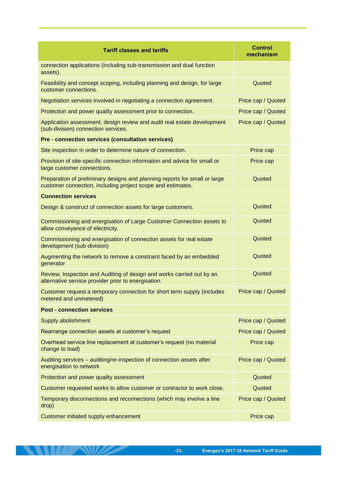| <b>Tariff classes and tariffs</b>                                                                                                         | <b>Control</b><br>mechanism |
|-------------------------------------------------------------------------------------------------------------------------------------------|-----------------------------|
| connection applications (including sub-transmission and dual function<br>assets).                                                         |                             |
| Feasibility and concept scoping, including planning and design, for large<br>customer connections.                                        | Quoted                      |
| Negotiation services involved in negotiating a connection agreement.                                                                      | Price cap / Quoted          |
| Protection and power quality assessment prior to connection.                                                                              | Price cap / Quoted          |
| Application assessment, design review and audit real estate development<br>(sub-division) connection services.                            | Price cap / Quoted          |
| Pre - connection services (consultation services)                                                                                         |                             |
| Site inspection in order to determine nature of connection.                                                                               | Price cap                   |
| Provision of site-specific connection information and advice for small or<br>large customer connections.                                  | Price cap                   |
| Preparation of preliminary designs and planning reports for small or large<br>customer connection, including project scope and estimates. | Quoted                      |
| <b>Connection services</b>                                                                                                                |                             |
| Design & construct of connection assets for large customers.                                                                              | Quoted                      |
| Commissioning and energisation of Large Customer Connection assets to<br>allow conveyance of electricity.                                 | Quoted                      |
| Commissioning and energisation of connection assets for real estate<br>development (sub-division)                                         | Quoted                      |
| Augmenting the network to remove a constraint faced by an embedded<br>generator                                                           | Quoted                      |
| Review, Inspection and Auditing of design and works carried out by an<br>alternative service provider prior to energisation.              | Quoted                      |
| Customer request a temporary connection for short term supply (includes<br>metered and unmetered)                                         | Price cap / Quoted          |
| <b>Post - connection services</b>                                                                                                         |                             |
| Supply abolishment                                                                                                                        | Price cap / Quoted          |
| Rearrange connection assets at customer's request                                                                                         | Price cap / Quoted          |
| Overhead service line replacement at customer's request (no material<br>change to load)                                                   | Price cap                   |
| Auditing services - auditing/re-inspection of connection assets after<br>energisation to network                                          | Price cap / Quoted          |
| Protection and power quality assessment                                                                                                   | Quoted                      |
| Customer requested works to allow customer or contractor to work close.                                                                   | Quoted                      |
| Temporary disconnections and reconnections (which may involve a line<br>drop)                                                             | Price cap / Quoted          |
| Customer initiated supply enhancement                                                                                                     | Price cap                   |

**EXAMPLE AND PROPERTY**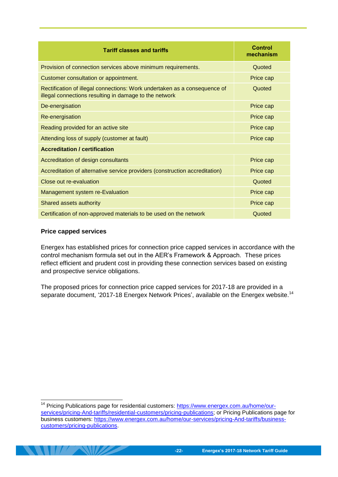| <b>Tariff classes and tariffs</b>                                                                                                   | <b>Control</b><br>mechanism |
|-------------------------------------------------------------------------------------------------------------------------------------|-----------------------------|
| Provision of connection services above minimum requirements.                                                                        | Quoted                      |
| Customer consultation or appointment.                                                                                               | Price cap                   |
| Rectification of illegal connections: Work undertaken as a consequence of<br>illegal connections resulting in damage to the network | Quoted                      |
| De-energisation                                                                                                                     | Price cap                   |
| Re-energisation                                                                                                                     | Price cap                   |
| Reading provided for an active site                                                                                                 | Price cap                   |
| Attending loss of supply (customer at fault)                                                                                        | Price cap                   |
| <b>Accreditation / certification</b>                                                                                                |                             |
| Accreditation of design consultants                                                                                                 | Price cap                   |
| Accreditation of alternative service providers (construction accreditation)                                                         | Price cap                   |
| Close out re-evaluation                                                                                                             | Quoted                      |
| <b>Management system re-Evaluation</b>                                                                                              | Price cap                   |
| Shared assets authority                                                                                                             | Price cap                   |
| Certification of non-approved materials to be used on the network                                                                   | Quoted                      |

#### **Price capped services**

-

Energex has established prices for connection price capped services in accordance with the control mechanism formula set out in the AER's Framework & Approach. These prices reflect efficient and prudent cost in providing these connection services based on existing and prospective service obligations.

The proposed prices for connection price capped services for 2017-18 are provided in a separate document, '2017-18 Energex Network Prices', available on the Energex website.<sup>14</sup>

<sup>&</sup>lt;sup>14</sup> Pricing Publications page for residential customers: [https://www.energex.com.au/home/our](https://www.energex.com.au/home/our-services/pricing-And-tariffs/residential-customers/pricing-publications)[services/pricing-And-tariffs/residential-customers/pricing-publications;](https://www.energex.com.au/home/our-services/pricing-And-tariffs/residential-customers/pricing-publications) or Pricing Publications page for business customers: [https://www.energex.com.au/home/our-services/pricing-And-tariffs/business](https://www.energex.com.au/home/our-services/pricing-And-tariffs/business-customers/pricing-publications)[customers/pricing-publications.](https://www.energex.com.au/home/our-services/pricing-And-tariffs/business-customers/pricing-publications)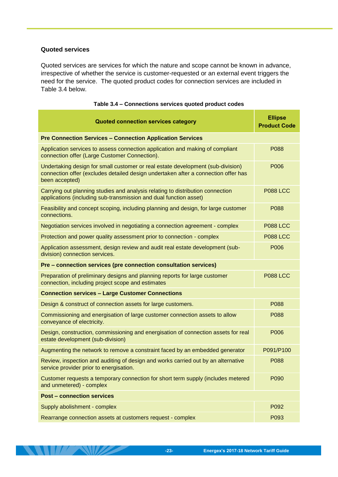#### **Quoted services**

**THE SHOP SHOP** 

Quoted services are services for which the nature and scope cannot be known in advance, irrespective of whether the service is customer-requested or an external event triggers the need for the service. The quoted product codes for connection services are included in [Table 3.4](#page-26-0) below.

<span id="page-26-0"></span>

| <b>Quoted connection services category</b>                                                                                                                                              | <b>Ellipse</b><br><b>Product Code</b> |
|-----------------------------------------------------------------------------------------------------------------------------------------------------------------------------------------|---------------------------------------|
| <b>Pre Connection Services - Connection Application Services</b>                                                                                                                        |                                       |
| Application services to assess connection application and making of compliant<br>connection offer (Large Customer Connection).                                                          | P088                                  |
| Undertaking design for small customer or real estate development (sub-division)<br>connection offer (excludes detailed design undertaken after a connection offer has<br>been accepted) | P006                                  |
| Carrying out planning studies and analysis relating to distribution connection<br>applications (including sub-transmission and dual function asset)                                     | <b>P088 LCC</b>                       |
| Feasibility and concept scoping, including planning and design, for large customer<br>connections.                                                                                      | P088                                  |
| Negotiation services involved in negotiating a connection agreement - complex                                                                                                           | <b>P088 LCC</b>                       |
| Protection and power quality assessment prior to connection - complex                                                                                                                   | <b>P088 LCC</b>                       |
| Application assessment, design review and audit real estate development (sub-<br>division) connection services.                                                                         | P006                                  |
| Pre - connection services (pre connection consultation services)                                                                                                                        |                                       |
| Preparation of preliminary designs and planning reports for large customer<br>connection, including project scope and estimates                                                         | <b>P088 LCC</b>                       |
| <b>Connection services - Large Customer Connections</b>                                                                                                                                 |                                       |
| Design & construct of connection assets for large customers.                                                                                                                            | P088                                  |
| Commissioning and energisation of large customer connection assets to allow<br>conveyance of electricity.                                                                               | P088                                  |
| Design, construction, commissioning and energisation of connection assets for real<br>estate development (sub-division)                                                                 | P006                                  |
| Augmenting the network to remove a constraint faced by an embedded generator                                                                                                            | P091/P100                             |
| Review, inspection and auditing of design and works carried out by an alternative<br>service provider prior to energisation.                                                            | P088                                  |
| Customer requests a temporary connection for short term supply (includes metered<br>and unmetered) - complex                                                                            | P090                                  |
| <b>Post - connection services</b>                                                                                                                                                       |                                       |
| Supply abolishment - complex                                                                                                                                                            | P092                                  |
| Rearrange connection assets at customers request - complex                                                                                                                              | P093                                  |

#### **Table 3.4 – Connections services quoted product codes**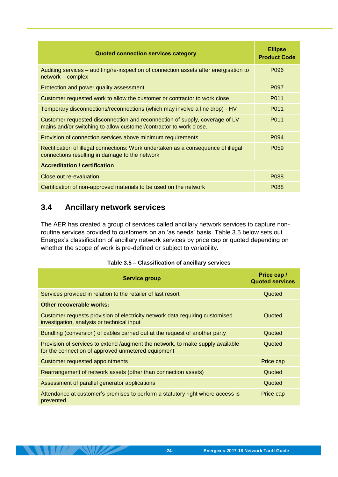| <b>Quoted connection services category</b>                                                                                                        | <b>Ellipse</b><br><b>Product Code</b> |
|---------------------------------------------------------------------------------------------------------------------------------------------------|---------------------------------------|
| Auditing services - auditing/re-inspection of connection assets after energisation to<br>network - complex                                        | P096                                  |
| Protection and power quality assessment                                                                                                           | P <sub>097</sub>                      |
| Customer requested work to allow the customer or contractor to work close                                                                         | P011                                  |
| Temporary disconnections/reconnections (which may involve a line drop) - HV                                                                       | P011                                  |
| Customer requested disconnection and reconnection of supply, coverage of LV<br>mains and/or switching to allow customer/contractor to work close. | P011                                  |
| Provision of connection services above minimum requirements                                                                                       | P <sub>094</sub>                      |
| Rectification of illegal connections: Work undertaken as a consequence of illegal<br>connections resulting in damage to the network               | P <sub>059</sub>                      |
| <b>Accreditation / certification</b>                                                                                                              |                                       |
| Close out re-evaluation                                                                                                                           | P088                                  |
| Certification of non-approved materials to be used on the network                                                                                 | P088                                  |

# <span id="page-27-0"></span>**3.4 Ancillary network services**

**ANTA AND** 

The AER has created a group of services called ancillary network services to capture nonroutine services provided to customers on an 'as needs' basis. [Table 3.5](#page-27-1) below sets out Energex's classification of ancillary network services by price cap or quoted depending on whether the scope of work is pre-defined or subject to variability.

#### **Table 3.5 – Classification of ancillary services**

<span id="page-27-1"></span>

| <b>Service group</b>                                                                                                                 | Price cap /<br><b>Quoted services</b> |
|--------------------------------------------------------------------------------------------------------------------------------------|---------------------------------------|
| Services provided in relation to the retailer of last resort                                                                         | Quoted                                |
| Other recoverable works:                                                                                                             |                                       |
| Customer requests provision of electricity network data requiring customised<br>investigation, analysis or technical input           | Quoted                                |
| Bundling (conversion) of cables carried out at the request of another party                                                          | Quoted                                |
| Provision of services to extend /augment the network, to make supply available<br>for the connection of approved unmetered equipment | Quoted                                |
| Customer requested appointments                                                                                                      | Price cap                             |
| Rearrangement of network assets (other than connection assets)                                                                       | Quoted                                |
| Assessment of parallel generator applications                                                                                        | Quoted                                |
| Attendance at customer's premises to perform a statutory right where access is<br>prevented                                          | Price cap                             |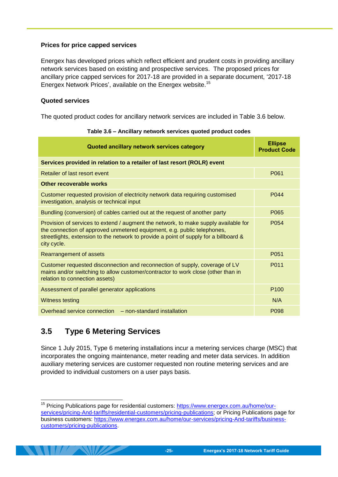#### **Prices for price capped services**

Energex has developed prices which reflect efficient and prudent costs in providing ancillary network services based on existing and prospective services. The proposed prices for ancillary price capped services for 2017-18 are provided in a separate document, '2017-18 Energex Network Prices', available on the Energex website.<sup>15</sup>

#### **Quoted services**

<span id="page-28-1"></span>The quoted product codes for ancillary network services are included in [Table 3.6](#page-28-1) below.

| Quoted ancillary network services category                                                                                                                                                                                                                             | <b>Ellipse</b><br><b>Product Code</b> |
|------------------------------------------------------------------------------------------------------------------------------------------------------------------------------------------------------------------------------------------------------------------------|---------------------------------------|
| Services provided in relation to a retailer of last resort (ROLR) event                                                                                                                                                                                                |                                       |
| Retailer of last resort event                                                                                                                                                                                                                                          | P061                                  |
| Other recoverable works                                                                                                                                                                                                                                                |                                       |
| Customer requested provision of electricity network data requiring customised<br>investigation, analysis or technical input                                                                                                                                            | P044                                  |
| Bundling (conversion) of cables carried out at the request of another party                                                                                                                                                                                            | P065                                  |
| Provision of services to extend / augment the network, to make supply available for<br>the connection of approved unmetered equipment, e.g. public telephones,<br>streetlights, extension to the network to provide a point of supply for a billboard &<br>city cycle. | P054                                  |
| Rearrangement of assets                                                                                                                                                                                                                                                | P051                                  |
| Customer requested disconnection and reconnection of supply, coverage of LV<br>mains and/or switching to allow customer/contractor to work close (other than in<br>relation to connection assets)                                                                      | P011                                  |
| Assessment of parallel generator applications                                                                                                                                                                                                                          | P <sub>100</sub>                      |
| <b>Witness testing</b>                                                                                                                                                                                                                                                 | N/A                                   |
| Overhead service connection – non-standard installation                                                                                                                                                                                                                | P <sub>098</sub>                      |

|  | Table 3.6 - Ancillary network services quoted product codes |  |  |  |  |  |  |
|--|-------------------------------------------------------------|--|--|--|--|--|--|
|--|-------------------------------------------------------------|--|--|--|--|--|--|

# <span id="page-28-0"></span>**3.5 Type 6 Metering Services**

-

Since 1 July 2015, Type 6 metering installations incur a metering services charge (MSC) that incorporates the ongoing maintenance, meter reading and meter data services. In addition auxiliary metering services are customer requested non routine metering services and are provided to individual customers on a user pays basis.

<sup>&</sup>lt;sup>15</sup> Pricing Publications page for residential customers: [https://www.energex.com.au/home/our](https://www.energex.com.au/home/our-services/pricing-And-tariffs/residential-customers/pricing-publications)[services/pricing-And-tariffs/residential-customers/pricing-publications;](https://www.energex.com.au/home/our-services/pricing-And-tariffs/residential-customers/pricing-publications) or Pricing Publications page for business customers: [https://www.energex.com.au/home/our-services/pricing-And-tariffs/business](https://www.energex.com.au/home/our-services/pricing-And-tariffs/business-customers/pricing-publications)[customers/pricing-publications.](https://www.energex.com.au/home/our-services/pricing-And-tariffs/business-customers/pricing-publications)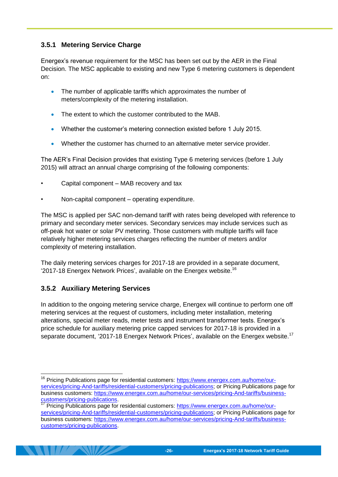#### <span id="page-29-0"></span>**3.5.1 Metering Service Charge**

Energex's revenue requirement for the MSC has been set out by the AER in the Final Decision. The MSC applicable to existing and new Type 6 metering customers is dependent on:

- The number of applicable tariffs which approximates the number of meters/complexity of the metering installation.
- The extent to which the customer contributed to the MAB.
- Whether the customer's metering connection existed before 1 July 2015.
- Whether the customer has churned to an alternative meter service provider.

The AER's Final Decision provides that existing Type 6 metering services (before 1 July 2015) will attract an annual charge comprising of the following components:

- Capital component MAB recovery and tax
- Non-capital component operating expenditure.

The MSC is applied per SAC non-demand tariff with rates being developed with reference to primary and secondary meter services. Secondary services may include services such as off-peak hot water or solar PV metering. Those customers with multiple tariffs will face relatively higher metering services charges reflecting the number of meters and/or complexity of metering installation.

The daily metering services charges for 2017-18 are provided in a separate document, '2017-18 Energex Network Prices', available on the Energex website.<sup>16</sup>

#### <span id="page-29-1"></span>**3.5.2 Auxiliary Metering Services**

-

In addition to the ongoing metering service charge, Energex will continue to perform one off metering services at the request of customers, including meter installation, metering alterations, special meter reads, meter tests and instrument transformer tests. Energex's price schedule for auxiliary metering price capped services for 2017-18 is provided in a separate document, '2017-18 Energex Network Prices', available on the Energex website.<sup>17</sup>

<sup>&</sup>lt;sup>16</sup> Pricing Publications page for residential customers: [https://www.energex.com.au/home/our](https://www.energex.com.au/home/our-services/pricing-And-tariffs/residential-customers/pricing-publications)[services/pricing-And-tariffs/residential-customers/pricing-publications;](https://www.energex.com.au/home/our-services/pricing-And-tariffs/residential-customers/pricing-publications) or Pricing Publications page for business customers: [https://www.energex.com.au/home/our-services/pricing-And-tariffs/business](https://www.energex.com.au/home/our-services/pricing-And-tariffs/business-customers/pricing-publications)[customers/pricing-publications.](https://www.energex.com.au/home/our-services/pricing-And-tariffs/business-customers/pricing-publications)

Pricing Publications page for residential customers: [https://www.energex.com.au/home/our](https://www.energex.com.au/home/our-services/pricing-And-tariffs/residential-customers/pricing-publications)[services/pricing-And-tariffs/residential-customers/pricing-publications;](https://www.energex.com.au/home/our-services/pricing-And-tariffs/residential-customers/pricing-publications) or Pricing Publications page for business customers: [https://www.energex.com.au/home/our-services/pricing-And-tariffs/business](https://www.energex.com.au/home/our-services/pricing-And-tariffs/business-customers/pricing-publications)[customers/pricing-publications.](https://www.energex.com.au/home/our-services/pricing-And-tariffs/business-customers/pricing-publications)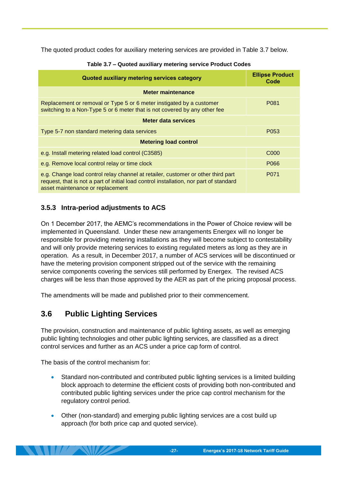<span id="page-30-2"></span>The quoted product codes for auxiliary metering services are provided in [Table 3.7](#page-30-2) below.

| Quoted auxiliary metering services category                                                                                                                                                                    | <b>Ellipse Product</b><br>Code |  |  |
|----------------------------------------------------------------------------------------------------------------------------------------------------------------------------------------------------------------|--------------------------------|--|--|
| Meter maintenance                                                                                                                                                                                              |                                |  |  |
| Replacement or removal or Type 5 or 6 meter instigated by a customer<br>switching to a Non-Type 5 or 6 meter that is not covered by any other fee                                                              | P <sub>0</sub> 81              |  |  |
| Meter data services                                                                                                                                                                                            |                                |  |  |
| Type 5-7 non standard metering data services                                                                                                                                                                   | P <sub>053</sub>               |  |  |
| <b>Metering load control</b>                                                                                                                                                                                   |                                |  |  |
| e.g. Install metering related load control (C3585)                                                                                                                                                             | C <sub>000</sub>               |  |  |
| e.g. Remove local control relay or time clock                                                                                                                                                                  | P066                           |  |  |
| e.g. Change load control relay channel at retailer, customer or other third part<br>request, that is not a part of initial load control installation, nor part of standard<br>asset maintenance or replacement | P071                           |  |  |

#### **Table 3.7 – Quoted auxiliary metering service Product Codes**

#### <span id="page-30-0"></span>**3.5.3 Intra-period adjustments to ACS**

On 1 December 2017, the AEMC's recommendations in the Power of Choice review will be implemented in Queensland. Under these new arrangements Energex will no longer be responsible for providing metering installations as they will become subject to contestability and will only provide metering services to existing regulated meters as long as they are in operation. As a result, in December 2017, a number of ACS services will be discontinued or have the metering provision component stripped out of the service with the remaining service components covering the services still performed by Energex. The revised ACS charges will be less than those approved by the AER as part of the pricing proposal process.

The amendments will be made and published prior to their commencement.

### <span id="page-30-1"></span>**3.6 Public Lighting Services**

The provision, construction and maintenance of public lighting assets, as well as emerging public lighting technologies and other public lighting services, are classified as a direct control services and further as an ACS under a price cap form of control.

The basis of the control mechanism for:

- Standard non-contributed and contributed public lighting services is a limited building block approach to determine the efficient costs of providing both non-contributed and contributed public lighting services under the price cap control mechanism for the regulatory control period.
- Other (non-standard) and emerging public lighting services are a cost build up approach (for both price cap and quoted service).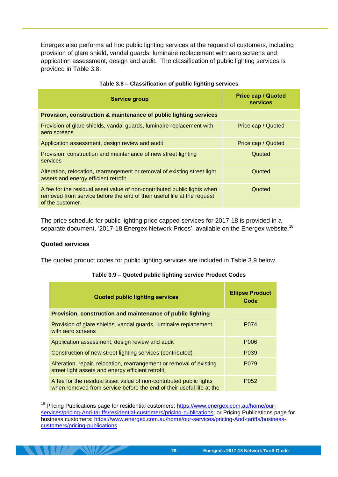Energex also performs ad hoc public lighting services at the request of customers, including provision of glare shield, vandal guards, luminaire replacement with aero screens and application assessment, design and audit. The classification of public lighting services is provided in [Table 3.8.](#page-31-0)

<span id="page-31-0"></span>

| <b>Service group</b>                                                                                                                                                    | <b>Price cap / Quoted</b><br><b>services</b> |
|-------------------------------------------------------------------------------------------------------------------------------------------------------------------------|----------------------------------------------|
| Provision, construction & maintenance of public lighting services                                                                                                       |                                              |
| Provision of glare shields, vandal guards, luminaire replacement with<br>aero screens                                                                                   | Price cap / Quoted                           |
| Application assessment, design review and audit                                                                                                                         | Price cap / Quoted                           |
| Provision, construction and maintenance of new street lighting<br>services                                                                                              | Quoted                                       |
| Alteration, relocation, rearrangement or removal of existing street light<br>assets and energy efficient retrofit                                                       | Quoted                                       |
| A fee for the residual asset value of non-contributed public lights when<br>removed from service before the end of their useful life at the request<br>of the customer. | Quoted                                       |

The price schedule for public lighting price capped services for 2017-18 is provided in a separate document, '2017-18 Energex Network Prices', available on the Energex website.<sup>18</sup>

#### **Quoted services**

-

<span id="page-31-1"></span>The quoted product codes for public lighting services are included in [Table 3.9](#page-31-1) below.

| <b>Quoted public lighting services</b>                                                                                                      | <b>Ellipse Product</b><br>Code |
|---------------------------------------------------------------------------------------------------------------------------------------------|--------------------------------|
| Provision, construction and maintenance of public lighting                                                                                  |                                |
| Provision of glare shields, vandal guards, luminaire replacement<br>with aero screens                                                       | P074                           |
| Application assessment, design review and audit                                                                                             | P006                           |
| Construction of new street lighting services (contributed)                                                                                  | P <sub>0</sub> 39              |
| Alteration, repair, relocation, rearrangement or removal of existing<br>street light assets and energy efficient retrofit                   | P <sub>0</sub> 79              |
| A fee for the residual asset value of non-contributed public lights<br>when removed from service before the end of their useful life at the | P <sub>052</sub>               |

#### **Table 3.9 – Quoted public lighting service Product Codes**

<sup>&</sup>lt;sup>18</sup> Pricing Publications page for residential customers: [https://www.energex.com.au/home/our](https://www.energex.com.au/home/our-services/pricing-And-tariffs/residential-customers/pricing-publications)[services/pricing-And-tariffs/residential-customers/pricing-publications;](https://www.energex.com.au/home/our-services/pricing-And-tariffs/residential-customers/pricing-publications) or Pricing Publications page for business customers: [https://www.energex.com.au/home/our-services/pricing-And-tariffs/business](https://www.energex.com.au/home/our-services/pricing-And-tariffs/business-customers/pricing-publications)[customers/pricing-publications.](https://www.energex.com.au/home/our-services/pricing-And-tariffs/business-customers/pricing-publications)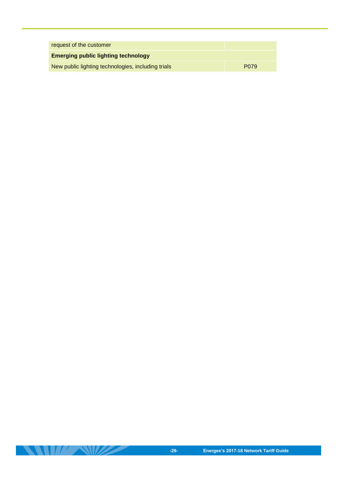| request of the customer                            |                   |  |
|----------------------------------------------------|-------------------|--|
| <b>Emerging public lighting technology</b>         |                   |  |
| New public lighting technologies, including trials | P <sub>0</sub> 79 |  |

**THE REAL PROPERTY**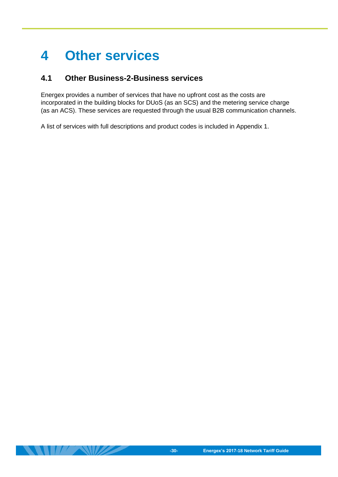# <span id="page-33-0"></span>**4 Other services**

### <span id="page-33-1"></span>**4.1 Other Business-2-Business services**

Energex provides a number of services that have no upfront cost as the costs are incorporated in the building blocks for DUoS (as an SCS) and the metering service charge (as an ACS). These services are requested through the usual B2B communication channels.

A list of services with full descriptions and product codes is included in Appendix 1.

 $\blacksquare$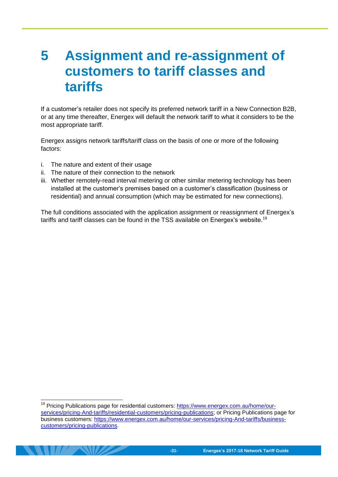# <span id="page-34-0"></span>**5 Assignment and re-assignment of customers to tariff classes and tariffs**

If a customer's retailer does not specify its preferred network tariff in a New Connection B2B, or at any time thereafter, Energex will default the network tariff to what it considers to be the most appropriate tariff.

Energex assigns network tariffs/tariff class on the basis of one or more of the following factors:

i. The nature and extent of their usage

-

- ii. The nature of their connection to the network
- iii. Whether remotely-read interval metering or other similar metering technology has been installed at the customer's premises based on a customer's classification (business or residential) and annual consumption (which may be estimated for new connections).

The full conditions associated with the application assignment or reassignment of Energex's tariffs and tariff classes can be found in the TSS available on Energex's website.<sup>19</sup>

Pricing Publications page for residential customers: [https://www.energex.com.au/home/our](https://www.energex.com.au/home/our-services/pricing-And-tariffs/residential-customers/pricing-publications)[services/pricing-And-tariffs/residential-customers/pricing-publications;](https://www.energex.com.au/home/our-services/pricing-And-tariffs/residential-customers/pricing-publications) or Pricing Publications page for business customers: [https://www.energex.com.au/home/our-services/pricing-And-tariffs/business](https://www.energex.com.au/home/our-services/pricing-And-tariffs/business-customers/pricing-publications)[customers/pricing-publications.](https://www.energex.com.au/home/our-services/pricing-And-tariffs/business-customers/pricing-publications)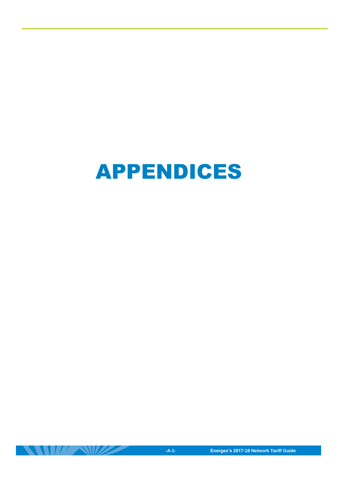

 $\frac{1}{2}$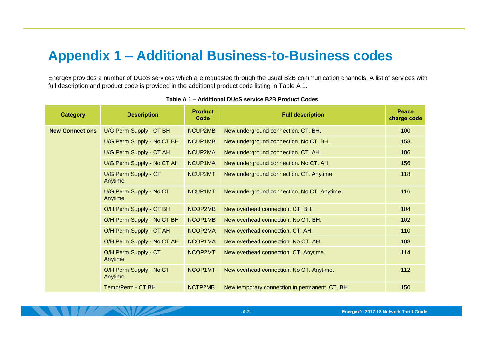# **Appendix 1 – Additional Business-to-Business codes**

Energex provides a number of DUoS services which are requested through the usual B2B communication channels. A list of services with full description and product code is provided in the additional product code listing in [Table A 1.](#page-36-1)

<span id="page-36-1"></span><span id="page-36-0"></span>

| <b>Category</b>        | <b>Description</b>                 | <b>Product</b><br>Code | <b>Full description</b>                        | <b>Peace</b><br>charge code |
|------------------------|------------------------------------|------------------------|------------------------------------------------|-----------------------------|
| <b>New Connections</b> | U/G Perm Supply - CT BH            | NCUP2MB                | New underground connection. CT. BH.            | 100                         |
|                        | U/G Perm Supply - No CT BH         | NCUP1MB                | New underground connection. No CT. BH.         | 158                         |
|                        | U/G Perm Supply - CT AH            | NCUP2MA                | New underground connection. CT. AH.            | 106                         |
|                        | U/G Perm Supply - No CT AH         | NCUP1MA                | New underground connection. No CT. AH.         | 156                         |
|                        | U/G Perm Supply - CT<br>Anytime    | NCUP2MT                | New underground connection. CT. Anytime.       | 118                         |
|                        | U/G Perm Supply - No CT<br>Anytime | NCUP1MT                | New underground connection. No CT. Anytime.    | 116                         |
|                        | O/H Perm Supply - CT BH            | NCOP2MB                | New overhead connection. CT. BH.               | 104                         |
|                        | O/H Perm Supply - No CT BH         | NCOP1MB                | New overhead connection. No CT. BH.            | 102                         |
|                        | O/H Perm Supply - CT AH            | NCOP2MA                | New overhead connection, CT, AH.               | 110                         |
|                        | O/H Perm Supply - No CT AH         | NCOP1MA                | New overhead connection. No CT. AH.            | 108                         |
|                        | O/H Perm Supply - CT<br>Anytime    | NCOP2MT                | New overhead connection. CT. Anytime.          | 114                         |
|                        | O/H Perm Supply - No CT<br>Anytime | NCOP1MT                | New overhead connection. No CT. Anytime.       | 112                         |
|                        | Temp/Perm - CT BH                  | NCTP2MB                | New temporary connection in permanent. CT. BH. | 150                         |

**Table A 1 – Additional DUoS service B2B Product Codes**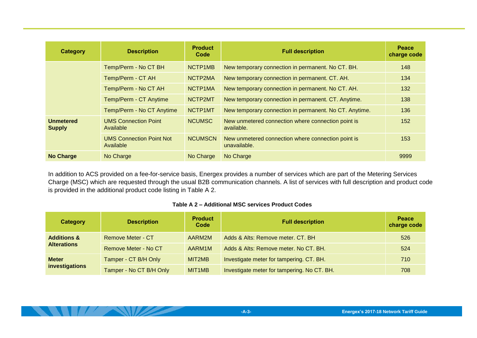| Category                          | <b>Description</b>                           | <b>Product</b><br>Code | <b>Full description</b>                                            | <b>Peace</b><br>charge code |
|-----------------------------------|----------------------------------------------|------------------------|--------------------------------------------------------------------|-----------------------------|
|                                   | Temp/Perm - No CT BH                         | NCTP1MB                | New temporary connection in permanent. No CT. BH.                  | 148                         |
|                                   | Temp/Perm - CT AH                            | NCTP2MA                | New temporary connection in permanent. CT. AH.                     | 134                         |
|                                   | Temp/Perm - No CT AH                         | NCTP1MA                | New temporary connection in permanent. No CT. AH.                  | 132                         |
|                                   | Temp/Perm - CT Anytime                       | NCTP2MT                | New temporary connection in permanent. CT. Anytime.                | 138                         |
|                                   | Temp/Perm - No CT Anytime                    | NCTP1MT                | New temporary connection in permanent. No CT. Anytime.             | 136                         |
| <b>Unmetered</b><br><b>Supply</b> | <b>UMS Connection Point</b><br>Available     | <b>NCUMSC</b>          | New unmetered connection where connection point is<br>available.   | 152                         |
|                                   | <b>UMS Connection Point Not</b><br>Available | <b>NCUMSCN</b>         | New unmetered connection where connection point is<br>unavailable. | 153                         |
| <b>No Charge</b>                  | No Charge                                    | No Charge              | No Charge                                                          | 9999                        |

In addition to ACS provided on a fee-for-service basis, Energex provides a number of services which are part of the Metering Services Charge (MSC) which are requested through the usual B2B communication channels. A list of services with full description and product code is provided in the additional product code listing in [Table A 2.](#page-37-0)

#### **Table A 2 – Additional MSC services Product Codes**

<span id="page-37-0"></span>

| Category                       | <b>Description</b>       | <b>Product</b><br>Code | <b>Full description</b>                     | <b>Peace</b><br>charge code |
|--------------------------------|--------------------------|------------------------|---------------------------------------------|-----------------------------|
| <b>Additions &amp;</b>         | <b>Remove Meter - CT</b> | AARM2M                 | Adds & Alts: Remove meter. CT. BH           | 526                         |
| <b>Alterations</b>             | Remove Meter - No CT     | AARM1M                 | Adds & Alts: Remove meter. No CT. BH.       | 524                         |
| <b>Meter</b><br>investigations | Tamper - CT B/H Only     | MIT2MB                 | Investigate meter for tampering. CT. BH.    | 710                         |
|                                | Tamper - No CT B/H Only  | MIT <sub>1</sub> MB    | Investigate meter for tampering. No CT. BH. | 708                         |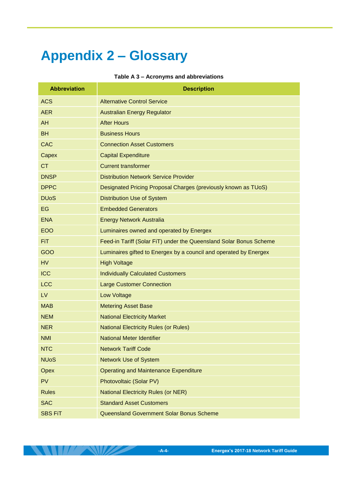# <span id="page-38-0"></span>**Appendix 2 – Glossary**

#### **Table A 3 – Acronyms and abbreviations**

| <b>Abbreviation</b>    | <b>Description</b>                                                 |
|------------------------|--------------------------------------------------------------------|
| <b>ACS</b>             | <b>Alternative Control Service</b>                                 |
| <b>AER</b>             | <b>Australian Energy Regulator</b>                                 |
| <b>AH</b>              | <b>After Hours</b>                                                 |
| <b>BH</b>              | <b>Business Hours</b>                                              |
| <b>CAC</b>             | <b>Connection Asset Customers</b>                                  |
| Capex                  | <b>Capital Expenditure</b>                                         |
| <b>CT</b>              | <b>Current transformer</b>                                         |
| <b>DNSP</b>            | <b>Distribution Network Service Provider</b>                       |
| <b>DPPC</b>            | Designated Pricing Proposal Charges (previously known as TUoS)     |
| <b>DU<sub>o</sub>S</b> | <b>Distribution Use of System</b>                                  |
| EG                     | <b>Embedded Generators</b>                                         |
| <b>ENA</b>             | <b>Energy Network Australia</b>                                    |
| <b>EOO</b>             | Luminaires owned and operated by Energex                           |
| FiT.                   | Feed-in Tariff (Solar FiT) under the Queensland Solar Bonus Scheme |
| GOO                    | Luminaires gifted to Energex by a council and operated by Energex  |
| <b>HV</b>              | <b>High Voltage</b>                                                |
| <b>ICC</b>             | <b>Individually Calculated Customers</b>                           |
| <b>LCC</b>             | <b>Large Customer Connection</b>                                   |
| LV                     | <b>Low Voltage</b>                                                 |
| <b>MAB</b>             | <b>Metering Asset Base</b>                                         |
| <b>NEM</b>             | <b>National Electricity Market</b>                                 |
| <b>NER</b>             | <b>National Electricity Rules (or Rules)</b>                       |
| <b>NMI</b>             | <b>National Meter Identifier</b>                                   |
| <b>NTC</b>             | <b>Network Tariff Code</b>                                         |
| <b>NUoS</b>            | <b>Network Use of System</b>                                       |
| Opex                   | <b>Operating and Maintenance Expenditure</b>                       |
| <b>PV</b>              | Photovoltaic (Solar PV)                                            |
| <b>Rules</b>           | <b>National Electricity Rules (or NER)</b>                         |
| <b>SAC</b>             | <b>Standard Asset Customers</b>                                    |
| <b>SBS FiT</b>         | Queensland Government Solar Bonus Scheme                           |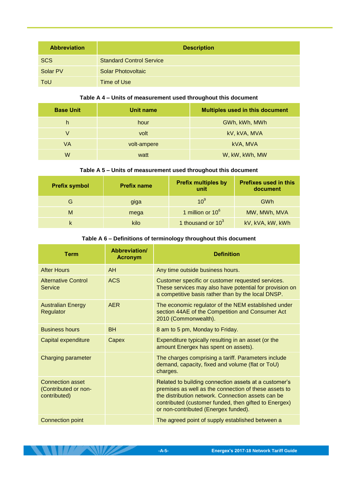| <b>Abbreviation</b> | <b>Description</b>              |
|---------------------|---------------------------------|
| <b>SCS</b>          | <b>Standard Control Service</b> |
| Solar PV            | <b>Solar Photovoltaic</b>       |
| ToU                 | Time of Use                     |

#### **Table A 4 – Units of measurement used throughout this document**

| <b>Base Unit</b> | Unit name   | <b>Multiples used in this document</b> |
|------------------|-------------|----------------------------------------|
| h                | hour        | GWh, kWh, MWh                          |
| V                | volt        | kV, kVA, MVA                           |
| VA               | volt-ampere | kVA, MVA                               |
| W                | watt        | W, kW, kWh, MW                         |

#### **Table A 5 – Units of measurement used throughout this document**

| <b>Prefix symbol</b> | <b>Prefix name</b> | <b>Prefix multiples by</b><br>unit | <b>Prefixes used in this</b><br>document |
|----------------------|--------------------|------------------------------------|------------------------------------------|
| G                    | giga               | 10 <sup>9</sup>                    | GWh                                      |
| M                    | mega               | 1 million or $10^6$                | MW, MWh, MVA                             |
|                      | kilo               | 1 thousand or $10^3$               | kV, kVA, kW, kWh                         |

#### **Table A 6 – Definitions of terminology throughout this document**

| Term                                                            | Abbreviation/<br><b>Acronym</b> | <b>Definition</b>                                                                                                                                                                                                                                                     |
|-----------------------------------------------------------------|---------------------------------|-----------------------------------------------------------------------------------------------------------------------------------------------------------------------------------------------------------------------------------------------------------------------|
| <b>After Hours</b>                                              | <b>AH</b>                       | Any time outside business hours.                                                                                                                                                                                                                                      |
| <b>Alternative Control</b><br><b>Service</b>                    | <b>ACS</b>                      | Customer specific or customer requested services.<br>These services may also have potential for provision on<br>a competitive basis rather than by the local DNSP.                                                                                                    |
| <b>Australian Energy</b><br>Regulator                           | <b>AER</b>                      | The economic regulator of the NEM established under<br>section 44AE of the Competition and Consumer Act<br>2010 (Commonwealth).                                                                                                                                       |
| <b>Business hours</b>                                           | <b>BH</b>                       | 8 am to 5 pm, Monday to Friday.                                                                                                                                                                                                                                       |
| Capital expenditure                                             | Capex                           | Expenditure typically resulting in an asset (or the<br>amount Energex has spent on assets).                                                                                                                                                                           |
| <b>Charging parameter</b>                                       |                                 | The charges comprising a tariff. Parameters include<br>demand, capacity, fixed and volume (flat or ToU)<br>charges.                                                                                                                                                   |
| <b>Connection asset</b><br>(Contributed or non-<br>contributed) |                                 | Related to building connection assets at a customer's<br>premises as well as the connection of these assets to<br>the distribution network. Connection assets can be<br>contributed (customer funded, then gifted to Energex)<br>or non-contributed (Energex funded). |
| <b>Connection point</b>                                         |                                 | The agreed point of supply established between a                                                                                                                                                                                                                      |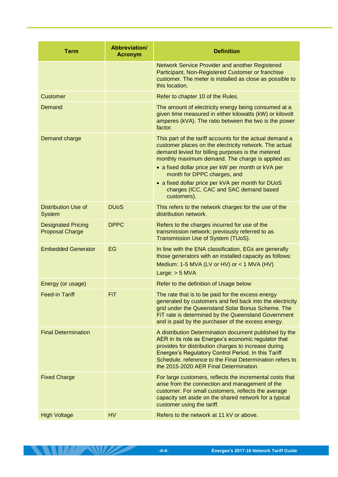| <b>Term</b>                                         | Abbreviation/<br><b>Acronym</b> | <b>Definition</b>                                                                                                                                                                                                                                                                                                                   |
|-----------------------------------------------------|---------------------------------|-------------------------------------------------------------------------------------------------------------------------------------------------------------------------------------------------------------------------------------------------------------------------------------------------------------------------------------|
|                                                     |                                 | <b>Network Service Provider and another Registered</b><br>Participant, Non-Registered Customer or franchise<br>customer. The meter is installed as close as possible to<br>this location.                                                                                                                                           |
| <b>Customer</b>                                     |                                 | Refer to chapter 10 of the Rules.                                                                                                                                                                                                                                                                                                   |
| Demand                                              |                                 | The amount of electricity energy being consumed at a<br>given time measured in either kilowatts (kW) or kilovolt<br>amperes (kVA). The ratio between the two is the power<br>factor.                                                                                                                                                |
| Demand charge                                       |                                 | This part of the tariff accounts for the actual demand a<br>customer places on the electricity network. The actual<br>demand levied for billing purposes is the metered<br>monthly maximum demand. The charge is applied as:<br>• a fixed dollar price per kW per month or kVA per<br>month for DPPC charges, and                   |
|                                                     |                                 | • a fixed dollar price per kVA per month for DUoS<br>charges (ICC, CAC and SAC demand based<br>customers).                                                                                                                                                                                                                          |
| <b>Distribution Use of</b><br><b>System</b>         | <b>DU<sub>o</sub>S</b>          | This refers to the network charges for the use of the<br>distribution network.                                                                                                                                                                                                                                                      |
| <b>Designated Pricing</b><br><b>Proposal Charge</b> | <b>DPPC</b>                     | Refers to the charges incurred for use of the<br>transmission network; previously referred to as<br>Transmission Use of System (TUoS).                                                                                                                                                                                              |
| <b>Embedded Generator</b>                           | EG                              | In line with the ENA classification, EGs are generally<br>those generators with an installed capacity as follows:<br>Medium: 1-5 MVA (LV or HV) or $<$ 1 MVA (HV)<br>Large: $> 5$ MVA                                                                                                                                               |
| Energy (or usage)                                   |                                 | Refer to the definition of Usage below                                                                                                                                                                                                                                                                                              |
| <b>Feed-in Tariff</b>                               | <b>FiT</b>                      | The rate that is to be paid for the excess energy<br>generated by customers and fed back into the electricity<br>grid under the Queensland Solar Bonus Scheme. The<br>FiT rate is determined by the Queensland Government<br>and is paid by the purchaser of the excess energy.                                                     |
| <b>Final Determination</b>                          |                                 | A distribution Determination document published by the<br>AER in its role as Energex's economic regulator that<br>provides for distribution charges to increase during<br>Energex's Regulatory Control Period. In this Tariff<br>Schedule, reference to the Final Determination refers to<br>the 2015-2020 AER Final Determination. |
| <b>Fixed Charge</b>                                 |                                 | For large customers, reflects the incremental costs that<br>arise from the connection and management of the<br>customer. For small customers, reflects the average<br>capacity set aside on the shared network for a typical<br>customer using the tariff.                                                                          |
| <b>High Voltage</b>                                 | <b>HV</b>                       | Refers to the network at 11 kV or above.                                                                                                                                                                                                                                                                                            |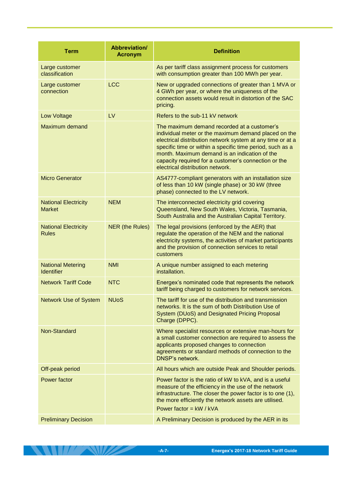| <b>Term</b>                                   | Abbreviation/<br><b>Acronym</b> | <b>Definition</b>                                                                                                                                                                                                                                                                                                                                                           |
|-----------------------------------------------|---------------------------------|-----------------------------------------------------------------------------------------------------------------------------------------------------------------------------------------------------------------------------------------------------------------------------------------------------------------------------------------------------------------------------|
| Large customer<br>classification              |                                 | As per tariff class assignment process for customers<br>with consumption greater than 100 MWh per year.                                                                                                                                                                                                                                                                     |
| Large customer<br>connection                  | <b>LCC</b>                      | New or upgraded connections of greater than 1 MVA or<br>4 GWh per year, or where the uniqueness of the<br>connection assets would result in distortion of the SAC<br>pricing.                                                                                                                                                                                               |
| <b>Low Voltage</b>                            | <b>LV</b>                       | Refers to the sub-11 kV network                                                                                                                                                                                                                                                                                                                                             |
| <b>Maximum demand</b>                         |                                 | The maximum demand recorded at a customer's<br>individual meter or the maximum demand placed on the<br>electrical distribution network system at any time or at a<br>specific time or within a specific time period, such as a<br>month. Maximum demand is an indication of the<br>capacity required for a customer's connection or the<br>electrical distribution network. |
| <b>Micro Generator</b>                        |                                 | AS4777-compliant generators with an installation size<br>of less than 10 kW (single phase) or 30 kW (three<br>phase) connected to the LV network.                                                                                                                                                                                                                           |
| <b>National Electricity</b><br><b>Market</b>  | <b>NEM</b>                      | The interconnected electricity grid covering<br>Queensland, New South Wales, Victoria, Tasmania,<br>South Australia and the Australian Capital Territory.                                                                                                                                                                                                                   |
| <b>National Electricity</b><br><b>Rules</b>   | NER (the Rules)                 | The legal provisions (enforced by the AER) that<br>regulate the operation of the NEM and the national<br>electricity systems, the activities of market participants<br>and the provision of connection services to retail<br>customers                                                                                                                                      |
| <b>National Metering</b><br><b>Identifier</b> | <b>NMI</b>                      | A unique number assigned to each metering<br>installation.                                                                                                                                                                                                                                                                                                                  |
| <b>Network Tariff Code</b>                    | <b>NTC</b>                      | Energex's nominated code that represents the network<br>tariff being charged to customers for network services.                                                                                                                                                                                                                                                             |
| <b>Network Use of System</b>                  | <b>NUoS</b>                     | The tariff for use of the distribution and transmission<br>networks. It is the sum of both Distribution Use of<br>System (DUoS) and Designated Pricing Proposal<br>Charge (DPPC).                                                                                                                                                                                           |
| Non-Standard                                  |                                 | Where specialist resources or extensive man-hours for<br>a small customer connection are required to assess the<br>applicants proposed changes to connection<br>agreements or standard methods of connection to the<br><b>DNSP's network.</b>                                                                                                                               |
| Off-peak period                               |                                 | All hours which are outside Peak and Shoulder periods.                                                                                                                                                                                                                                                                                                                      |
| Power factor                                  |                                 | Power factor is the ratio of kW to kVA, and is a useful<br>measure of the efficiency in the use of the network<br>infrastructure. The closer the power factor is to one (1),<br>the more efficiently the network assets are utilised.<br>Power factor = $kW / kVA$                                                                                                          |
| <b>Preliminary Decision</b>                   |                                 | A Preliminary Decision is produced by the AER in its                                                                                                                                                                                                                                                                                                                        |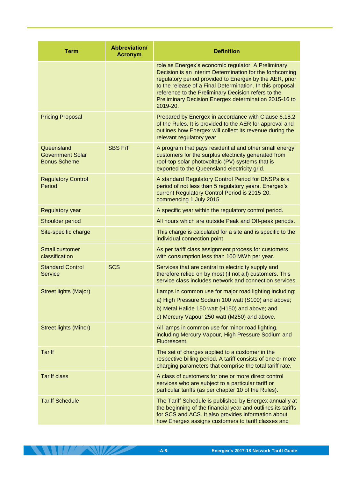| <b>Term</b>                                                  | <b>Abbreviation/</b><br><b>Acronym</b> | <b>Definition</b>                                                                                                                                                                                                                                                                                                                                                    |
|--------------------------------------------------------------|----------------------------------------|----------------------------------------------------------------------------------------------------------------------------------------------------------------------------------------------------------------------------------------------------------------------------------------------------------------------------------------------------------------------|
|                                                              |                                        | role as Energex's economic regulator. A Preliminary<br>Decision is an interim Determination for the forthcoming<br>regulatory period provided to Energex by the AER, prior<br>to the release of a Final Determination. In this proposal,<br>reference to the Preliminary Decision refers to the<br>Preliminary Decision Energex determination 2015-16 to<br>2019-20. |
| <b>Pricing Proposal</b>                                      |                                        | Prepared by Energex in accordance with Clause 6.18.2<br>of the Rules. It is provided to the AER for approval and<br>outlines how Energex will collect its revenue during the<br>relevant regulatory year.                                                                                                                                                            |
| Queensland<br><b>Government Solar</b><br><b>Bonus Scheme</b> | <b>SBS FiT</b>                         | A program that pays residential and other small energy<br>customers for the surplus electricity generated from<br>roof-top solar photovoltaic (PV) systems that is<br>exported to the Queensland electricity grid.                                                                                                                                                   |
| <b>Regulatory Control</b><br>Period                          |                                        | A standard Regulatory Control Period for DNSPs is a<br>period of not less than 5 regulatory years. Energex's<br>current Regulatory Control Period is 2015-20,<br>commencing 1 July 2015.                                                                                                                                                                             |
| <b>Regulatory year</b>                                       |                                        | A specific year within the regulatory control period.                                                                                                                                                                                                                                                                                                                |
| Shoulder period                                              |                                        | All hours which are outside Peak and Off-peak periods.                                                                                                                                                                                                                                                                                                               |
| Site-specific charge                                         |                                        | This charge is calculated for a site and is specific to the<br>individual connection point.                                                                                                                                                                                                                                                                          |
| <b>Small customer</b><br>classification                      |                                        | As per tariff class assignment process for customers<br>with consumption less than 100 MWh per year.                                                                                                                                                                                                                                                                 |
| <b>Standard Control</b><br><b>Service</b>                    | <b>SCS</b>                             | Services that are central to electricity supply and<br>therefore relied on by most (if not all) customers. This<br>service class includes network and connection services.                                                                                                                                                                                           |
| <b>Street lights (Major)</b>                                 |                                        | Lamps in common use for major road lighting including:<br>a) High Pressure Sodium 100 watt (S100) and above;<br>b) Metal Halide 150 watt (H150) and above; and<br>c) Mercury Vapour 250 watt (M250) and above.                                                                                                                                                       |
| <b>Street lights (Minor)</b>                                 |                                        | All lamps in common use for minor road lighting,<br>including Mercury Vapour, High Pressure Sodium and<br>Fluorescent.                                                                                                                                                                                                                                               |
| <b>Tariff</b>                                                |                                        | The set of charges applied to a customer in the<br>respective billing period. A tariff consists of one or more<br>charging parameters that comprise the total tariff rate.                                                                                                                                                                                           |
| <b>Tariff class</b>                                          |                                        | A class of customers for one or more direct control<br>services who are subject to a particular tariff or<br>particular tariffs (as per chapter 10 of the Rules).                                                                                                                                                                                                    |
| <b>Tariff Schedule</b>                                       |                                        | The Tariff Schedule is published by Energex annually at<br>the beginning of the financial year and outlines its tariffs<br>for SCS and ACS. It also provides information about<br>how Energex assigns customers to tariff classes and                                                                                                                                |